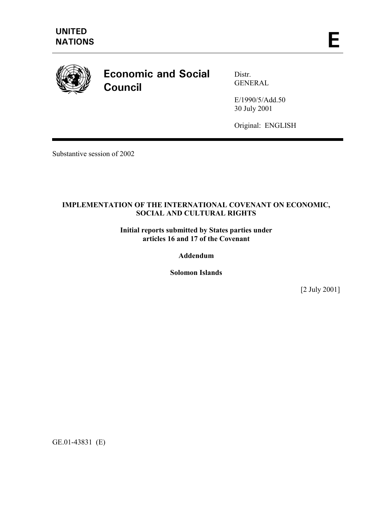

# **Economic and Social Council**

Distr. GENERAL

E/1990/5/Add.50 30 July 2001

Original: ENGLISH

Substantive session of 2002

# **IMPLEMENTATION OF THE INTERNATIONAL COVENANT ON ECONOMIC, SOCIAL AND CULTURAL RIGHTS**

**Initial reports submitted by States parties under articles 16 and 17 of the Covenant** 

**Addendum** 

**Solomon Islands** 

[2 July 2001]

GE.01-43831 (E)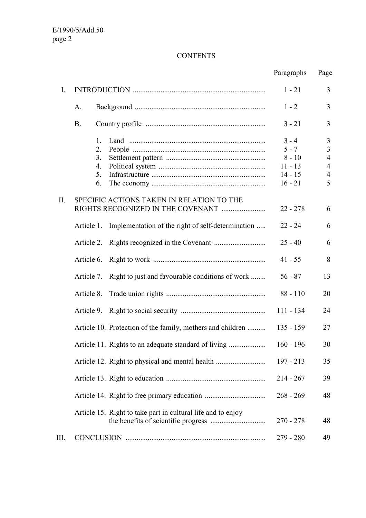# **CONTENTS**

|      |                                                                 | Paragraphs                                                            | <u>Page</u>                                                                    |
|------|-----------------------------------------------------------------|-----------------------------------------------------------------------|--------------------------------------------------------------------------------|
| I.   |                                                                 | $1 - 21$                                                              | 3                                                                              |
|      | A.                                                              | $1 - 2$                                                               | 3                                                                              |
|      | <b>B.</b>                                                       | $3 - 21$                                                              | 3                                                                              |
|      | 1.<br>2.<br>3.<br>4.<br>5.<br>6.                                | $3 - 4$<br>$5 - 7$<br>$8 - 10$<br>$11 - 13$<br>$14 - 15$<br>$16 - 21$ | 3<br>$\overline{3}$<br>$\overline{4}$<br>$\overline{4}$<br>$\overline{4}$<br>5 |
| II.  | SPECIFIC ACTIONS TAKEN IN RELATION TO THE                       | $22 - 278$                                                            | 6                                                                              |
|      | Implementation of the right of self-determination<br>Article 1. | $22 - 24$                                                             | 6                                                                              |
|      | Article 2.                                                      | $25 - 40$                                                             | 6                                                                              |
|      | Article 6.                                                      | $41 - 55$                                                             | 8                                                                              |
|      | Right to just and favourable conditions of work<br>Article 7.   | $56 - 87$                                                             | 13                                                                             |
|      | Article 8.                                                      | $88 - 110$                                                            | 20                                                                             |
|      | Article 9.                                                      | $111 - 134$                                                           | 24                                                                             |
|      | Article 10. Protection of the family, mothers and children      | $135 - 159$                                                           | 27                                                                             |
|      |                                                                 | $160 - 196$                                                           | 30                                                                             |
|      |                                                                 | 197 - 213                                                             | 35                                                                             |
|      |                                                                 | $214 - 267$                                                           | 39                                                                             |
|      |                                                                 | $268 - 269$                                                           | 48                                                                             |
|      | Article 15. Right to take part in cultural life and to enjoy    | $270 - 278$                                                           | 48                                                                             |
| III. |                                                                 | 279 - 280                                                             | 49                                                                             |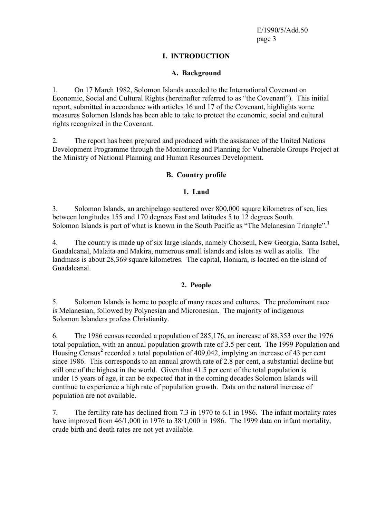# **I. INTRODUCTION**

#### **A. Background**

1. On 17 March 1982, Solomon Islands acceded to the International Covenant on Economic, Social and Cultural Rights (hereinafter referred to as "the Covenant"). This initial report, submitted in accordance with articles 16 and 17 of the Covenant, highlights some measures Solomon Islands has been able to take to protect the economic, social and cultural rights recognized in the Covenant.

2. The report has been prepared and produced with the assistance of the United Nations Development Programme through the Monitoring and Planning for Vulnerable Groups Project at the Ministry of National Planning and Human Resources Development.

#### **B. Country profile**

#### **1. Land**

3. Solomon Islands, an archipelago scattered over 800,000 square kilometres of sea, lies between longitudes 155 and 170 degrees East and latitudes 5 to 12 degrees South. Solomon Islands is part of what is known in the South Pacific as "The Melanesian Triangle".**<sup>1</sup>**

4. The country is made up of six large islands, namely Choiseul, New Georgia, Santa Isabel, Guadalcanal, Malaita and Makira, numerous small islands and islets as well as atolls. The landmass is about 28,369 square kilometres. The capital, Honiara, is located on the island of Guadalcanal.

#### **2. People**

5. Solomon Islands is home to people of many races and cultures. The predominant race is Melanesian, followed by Polynesian and Micronesian. The majority of indigenous Solomon Islanders profess Christianity.

6. The 1986 census recorded a population of 285,176, an increase of 88,353 over the 1976 total population, with an annual population growth rate of 3.5 per cent. The 1999 Population and Housing Census<sup>2</sup> recorded a total population of 409,042, implying an increase of 43 per cent since 1986. This corresponds to an annual growth rate of 2.8 per cent, a substantial decline but still one of the highest in the world. Given that 41.5 per cent of the total population is under 15 years of age, it can be expected that in the coming decades Solomon Islands will continue to experience a high rate of population growth. Data on the natural increase of population are not available.

7. The fertility rate has declined from 7.3 in 1970 to 6.1 in 1986. The infant mortality rates have improved from 46/1,000 in 1976 to 38/1,000 in 1986. The 1999 data on infant mortality, crude birth and death rates are not yet available.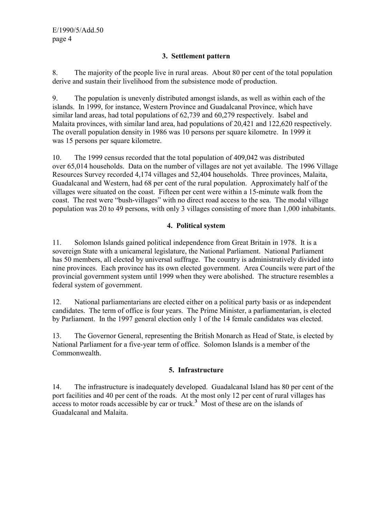# **3. Settlement pattern**

8. The majority of the people live in rural areas. About 80 per cent of the total population derive and sustain their livelihood from the subsistence mode of production.

9. The population is unevenly distributed amongst islands, as well as within each of the islands. In 1999, for instance, Western Province and Guadalcanal Province, which have similar land areas, had total populations of 62,739 and 60,279 respectively. Isabel and Malaita provinces, with similar land area, had populations of 20,421 and 122,620 respectively. The overall population density in 1986 was 10 persons per square kilometre. In 1999 it was 15 persons per square kilometre.

10. The 1999 census recorded that the total population of 409,042 was distributed over 65,014 households. Data on the number of villages are not yet available. The 1996 Village Resources Survey recorded 4,174 villages and 52,404 households. Three provinces, Malaita, Guadalcanal and Western, had 68 per cent of the rural population. Approximately half of the villages were situated on the coast. Fifteen per cent were within a 15-minute walk from the coast. The rest were "bush-villages" with no direct road access to the sea. The modal village population was 20 to 49 persons, with only 3 villages consisting of more than 1,000 inhabitants.

# **4. Political system**

11. Solomon Islands gained political independence from Great Britain in 1978. It is a sovereign State with a unicameral legislature, the National Parliament. National Parliament has 50 members, all elected by universal suffrage. The country is administratively divided into nine provinces. Each province has its own elected government. Area Councils were part of the provincial government system until 1999 when they were abolished. The structure resembles a federal system of government.

12. National parliamentarians are elected either on a political party basis or as independent candidates. The term of office is four years. The Prime Minister, a parliamentarian, is elected by Parliament. In the 1997 general election only 1 of the 14 female candidates was elected.

13. The Governor General, representing the British Monarch as Head of State, is elected by National Parliament for a five-year term of office. Solomon Islands is a member of the **Commonwealth** 

# **5. Infrastructure**

14. The infrastructure is inadequately developed. Guadalcanal Island has 80 per cent of the port facilities and 40 per cent of the roads. At the most only 12 per cent of rural villages has access to motor roads accessible by car or truck.<sup>3</sup> Most of these are on the islands of Guadalcanal and Malaita.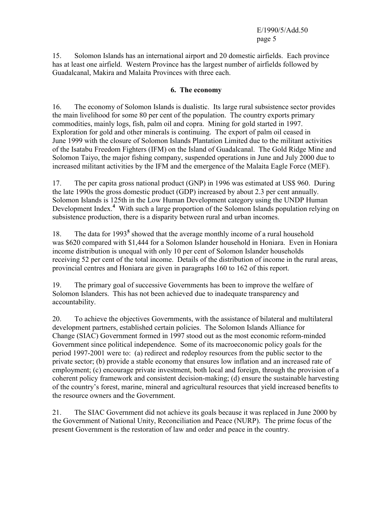15. Solomon Islands has an international airport and 20 domestic airfields. Each province has at least one airfield. Western Province has the largest number of airfields followed by Guadalcanal, Makira and Malaita Provinces with three each.

#### **6. The economy**

16. The economy of Solomon Islands is dualistic. Its large rural subsistence sector provides the main livelihood for some 80 per cent of the population. The country exports primary commodities, mainly logs, fish, palm oil and copra. Mining for gold started in 1997. Exploration for gold and other minerals is continuing. The export of palm oil ceased in June 1999 with the closure of Solomon Islands Plantation Limited due to the militant activities of the Isatabu Freedom Fighters (IFM) on the Island of Guadalcanal. The Gold Ridge Mine and Solomon Taiyo, the major fishing company, suspended operations in June and July 2000 due to increased militant activities by the IFM and the emergence of the Malaita Eagle Force (MEF).

17. The per capita gross national product (GNP) in 1996 was estimated at US\$ 960. During the late 1990s the gross domestic product (GDP) increased by about 2.3 per cent annually. Solomon Islands is 125th in the Low Human Development category using the UNDP Human Development Index.<sup>4</sup> With such a large proportion of the Solomon Islands population relying on subsistence production, there is a disparity between rural and urban incomes.

18. The data for 1993<sup>5</sup> showed that the average monthly income of a rural household was \$620 compared with \$1,444 for a Solomon Islander household in Honiara. Even in Honiara income distribution is unequal with only 10 per cent of Solomon Islander households receiving 52 per cent of the total income. Details of the distribution of income in the rural areas, provincial centres and Honiara are given in paragraphs 160 to 162 of this report.

19. The primary goal of successive Governments has been to improve the welfare of Solomon Islanders. This has not been achieved due to inadequate transparency and accountability.

20. To achieve the objectives Governments, with the assistance of bilateral and multilateral development partners, established certain policies. The Solomon Islands Alliance for Change (SIAC) Government formed in 1997 stood out as the most economic reform-minded Government since political independence. Some of its macroeconomic policy goals for the period 1997-2001 were to: (a) redirect and redeploy resources from the public sector to the private sector; (b) provide a stable economy that ensures low inflation and an increased rate of employment; (c) encourage private investment, both local and foreign, through the provision of a coherent policy framework and consistent decision-making; (d) ensure the sustainable harvesting of the country's forest, marine, mineral and agricultural resources that yield increased benefits to the resource owners and the Government.

21. The SIAC Government did not achieve its goals because it was replaced in June 2000 by the Government of National Unity, Reconciliation and Peace (NURP). The prime focus of the present Government is the restoration of law and order and peace in the country.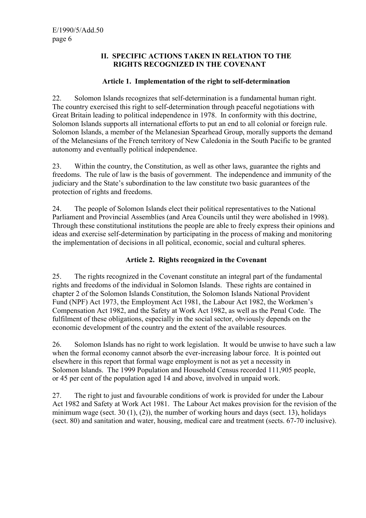#### **II. SPECIFIC ACTIONS TAKEN IN RELATION TO THE RIGHTS RECOGNIZED IN THE COVENANT**

# **Article 1. Implementation of the right to self-determination**

22. Solomon Islands recognizes that self-determination is a fundamental human right. The country exercised this right to self-determination through peaceful negotiations with Great Britain leading to political independence in 1978. In conformity with this doctrine, Solomon Islands supports all international efforts to put an end to all colonial or foreign rule. Solomon Islands, a member of the Melanesian Spearhead Group, morally supports the demand of the Melanesians of the French territory of New Caledonia in the South Pacific to be granted autonomy and eventually political independence.

23. Within the country, the Constitution, as well as other laws, guarantee the rights and freedoms. The rule of law is the basis of government. The independence and immunity of the judiciary and the State's subordination to the law constitute two basic guarantees of the protection of rights and freedoms.

24. The people of Solomon Islands elect their political representatives to the National Parliament and Provincial Assemblies (and Area Councils until they were abolished in 1998). Through these constitutional institutions the people are able to freely express their opinions and ideas and exercise self-determination by participating in the process of making and monitoring the implementation of decisions in all political, economic, social and cultural spheres.

# **Article 2. Rights recognized in the Covenant**

25. The rights recognized in the Covenant constitute an integral part of the fundamental rights and freedoms of the individual in Solomon Islands. These rights are contained in chapter 2 of the Solomon Islands Constitution, the Solomon Islands National Provident Fund (NPF) Act 1973, the Employment Act 1981, the Labour Act 1982, the Workmen's Compensation Act 1982, and the Safety at Work Act 1982, as well as the Penal Code. The fulfilment of these obligations, especially in the social sector, obviously depends on the economic development of the country and the extent of the available resources.

26. Solomon Islands has no right to work legislation. It would be unwise to have such a law when the formal economy cannot absorb the ever-increasing labour force. It is pointed out elsewhere in this report that formal wage employment is not as yet a necessity in Solomon Islands. The 1999 Population and Household Census recorded 111,905 people, or 45 per cent of the population aged 14 and above, involved in unpaid work.

27. The right to just and favourable conditions of work is provided for under the Labour Act 1982 and Safety at Work Act 1981. The Labour Act makes provision for the revision of the minimum wage (sect. 30  $(1)$ ,  $(2)$ ), the number of working hours and days (sect. 13), holidays (sect. 80) and sanitation and water, housing, medical care and treatment (sects. 67-70 inclusive).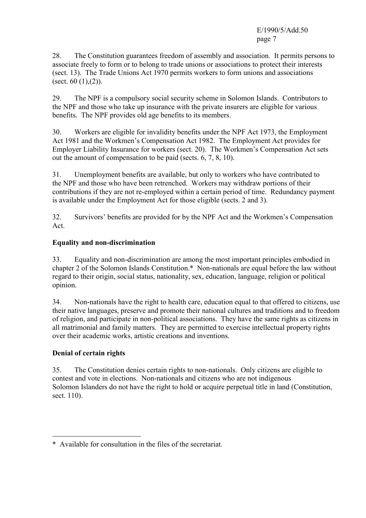28. The Constitution guarantees freedom of assembly and association. It permits persons to associate freely to form or to belong to trade unions or associations to protect their interests (sect. 13). The Trade Unions Act 1970 permits workers to form unions and associations (sect.  $60(1)$ , $(2)$ ).

29. The NPF is a compulsory social security scheme in Solomon Islands. Contributors to the NPF and those who take up insurance with the private insurers are eligible for various benefits. The NPF provides old age benefits to its members.

30. Workers are eligible for invalidity benefits under the NPF Act 1973, the Employment Act 1981 and the Workmen's Compensation Act 1982. The Employment Act provides for Employer Liability Insurance for workers (sect. 20). The Workmen's Compensation Act sets out the amount of compensation to be paid (sects. 6, 7, 8, 10).

31. Unemployment benefits are available, but only to workers who have contributed to the NPF and those who have been retrenched. Workers may withdraw portions of their contributions if they are not re-employed within a certain period of time. Redundancy payment is available under the Employment Act for those eligible (sects. 2 and 3).

32. Survivors' benefits are provided for by the NPF Act and the Workmen's Compensation Act.

# **Equality and non-discrimination**

33. Equality and non-discrimination are among the most important principles embodied in chapter 2 of the Solomon Islands Constitution.\* Non-nationals are equal before the law without regard to their origin, social status, nationality, sex, education, language, religion or political opinion.

34. Non-nationals have the right to health care, education equal to that offered to citizens, use their native languages, preserve and promote their national cultures and traditions and to freedom of religion, and participate in non-political associations. They have the same rights as citizens in all matrimonial and family matters. They are permitted to exercise intellectual property rights over their academic works, artistic creations and inventions.

#### **Denial of certain rights**

 $\overline{a}$ 

35. The Constitution denies certain rights to non-nationals. Only citizens are eligible to contest and vote in elections. Non-nationals and citizens who are not indigenous Solomon Islanders do not have the right to hold or acquire perpetual title in land (Constitution, sect. 110).

<sup>\*</sup> Available for consultation in the files of the secretariat.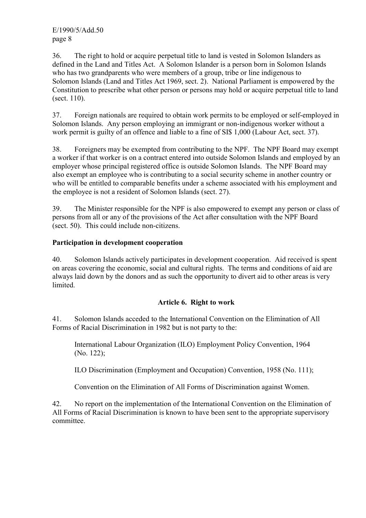36. The right to hold or acquire perpetual title to land is vested in Solomon Islanders as defined in the Land and Titles Act. A Solomon Islander is a person born in Solomon Islands who has two grandparents who were members of a group, tribe or line indigenous to Solomon Islands (Land and Titles Act 1969, sect. 2). National Parliament is empowered by the Constitution to prescribe what other person or persons may hold or acquire perpetual title to land (sect. 110).

37. Foreign nationals are required to obtain work permits to be employed or self-employed in Solomon Islands. Any person employing an immigrant or non-indigenous worker without a work permit is guilty of an offence and liable to a fine of SI\$ 1,000 (Labour Act, sect. 37).

38. Foreigners may be exempted from contributing to the NPF. The NPF Board may exempt a worker if that worker is on a contract entered into outside Solomon Islands and employed by an employer whose principal registered office is outside Solomon Islands. The NPF Board may also exempt an employee who is contributing to a social security scheme in another country or who will be entitled to comparable benefits under a scheme associated with his employment and the employee is not a resident of Solomon Islands (sect. 27).

39. The Minister responsible for the NPF is also empowered to exempt any person or class of persons from all or any of the provisions of the Act after consultation with the NPF Board (sect. 50). This could include non-citizens.

#### **Participation in development cooperation**

40. Solomon Islands actively participates in development cooperation. Aid received is spent on areas covering the economic, social and cultural rights. The terms and conditions of aid are always laid down by the donors and as such the opportunity to divert aid to other areas is very limited.

#### **Article 6. Right to work**

41. Solomon Islands acceded to the International Convention on the Elimination of All Forms of Racial Discrimination in 1982 but is not party to the:

International Labour Organization (ILO) Employment Policy Convention, 1964 (No. 122);

ILO Discrimination (Employment and Occupation) Convention, 1958 (No. 111);

Convention on the Elimination of All Forms of Discrimination against Women.

42. No report on the implementation of the International Convention on the Elimination of All Forms of Racial Discrimination is known to have been sent to the appropriate supervisory committee.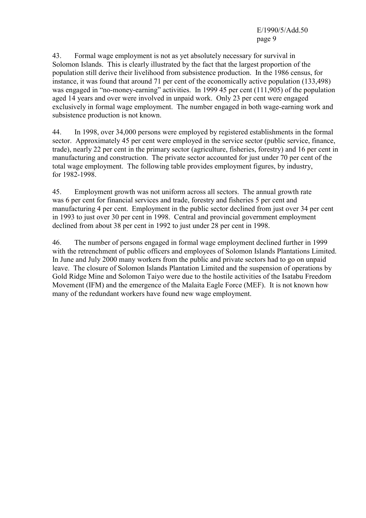43. Formal wage employment is not as yet absolutely necessary for survival in Solomon Islands. This is clearly illustrated by the fact that the largest proportion of the population still derive their livelihood from subsistence production. In the 1986 census, for instance, it was found that around 71 per cent of the economically active population (133,498) was engaged in "no-money-earning" activities. In 1999 45 per cent (111,905) of the population aged 14 years and over were involved in unpaid work. Only 23 per cent were engaged exclusively in formal wage employment. The number engaged in both wage-earning work and subsistence production is not known.

44. In 1998, over 34,000 persons were employed by registered establishments in the formal sector. Approximately 45 per cent were employed in the service sector (public service, finance, trade), nearly 22 per cent in the primary sector (agriculture, fisheries, forestry) and 16 per cent in manufacturing and construction. The private sector accounted for just under 70 per cent of the total wage employment. The following table provides employment figures, by industry, for 1982-1998.

45. Employment growth was not uniform across all sectors. The annual growth rate was 6 per cent for financial services and trade, forestry and fisheries 5 per cent and manufacturing 4 per cent. Employment in the public sector declined from just over 34 per cent in 1993 to just over 30 per cent in 1998. Central and provincial government employment declined from about 38 per cent in 1992 to just under 28 per cent in 1998.

46. The number of persons engaged in formal wage employment declined further in 1999 with the retrenchment of public officers and employees of Solomon Islands Plantations Limited. In June and July 2000 many workers from the public and private sectors had to go on unpaid leave. The closure of Solomon Islands Plantation Limited and the suspension of operations by Gold Ridge Mine and Solomon Taiyo were due to the hostile activities of the Isatabu Freedom Movement (IFM) and the emergence of the Malaita Eagle Force (MEF). It is not known how many of the redundant workers have found new wage employment.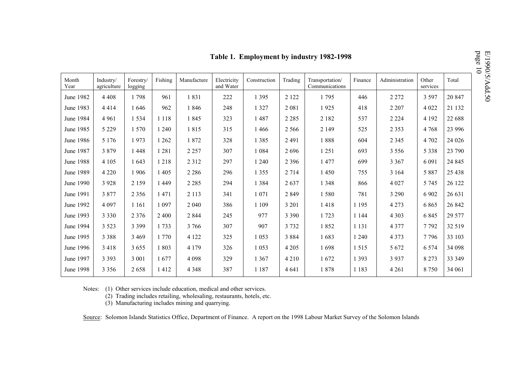|               | page<br>Table 1. Employment by industry 1982-1998<br>$\overline{0}$ |                      |         |             |                          |              |         |                                   |         |                |                   |          |
|---------------|---------------------------------------------------------------------|----------------------|---------|-------------|--------------------------|--------------|---------|-----------------------------------|---------|----------------|-------------------|----------|
| Month<br>Year | Industry/<br>agriculture                                            | Forestry/<br>logging | Fishing | Manufacture | Electricity<br>and Water | Construction | Trading | Transportation/<br>Communications | Finance | Administration | Other<br>services | Total    |
| June 1982     | 4 4 0 8                                                             | 1798                 | 961     | 1831        | 222                      | 1 3 9 5      | 2 1 2 2 | 1795                              | 446     | 2 2 7 2        | 3 5 9 7           | 20 847   |
| June 1983     | 4414                                                                | 1646                 | 962     | 1846        | 248                      | 1 3 2 7      | 2 0 8 1 | 1925                              | 418     | 2 2 0 7        | 4 0 2 2           | 21 132   |
| June 1984     | 4 9 6 1                                                             | 1534                 | 1 1 1 8 | 1845        | 323                      | 1487         | 2 2 8 5 | 2 1 8 2                           | 537     | 2 2 2 4        | 4 1 9 2           | 22 688   |
| June 1985     | 5 2 2 9                                                             | 1 570                | 1 2 4 0 | 1815        | 315                      | 1466         | 2 5 6 6 | 2 1 4 9                           | 525     | 2 3 5 3        | 4 7 6 8           | 23 9 9 6 |
| June 1986     | 5 1 7 6                                                             | 1973                 | 1 2 6 2 | 1872        | 328                      | 1 3 8 5      | 2 4 9 1 | 1888                              | 604     | 2 3 4 5        | 4 7 0 2           | 24 0 26  |
| June 1987     | 3879                                                                | 1 4 4 8              | 1281    | 2 2 5 7     | 307                      | 1 0 8 4      | 2696    | 1 2 5 1                           | 693     | 3 5 5 6        | 5 3 3 8           | 23 790   |
| June 1988     | 4 1 0 5                                                             | 1 643                | 1218    | 2 3 1 2     | 297                      | 1 2 4 0      | 2 3 9 6 | 1477                              | 699     | 3 3 6 7        | 6 0 9 1           | 24 8 45  |
| June 1989     | 4 2 2 0                                                             | 1906                 | 1 4 0 5 | 2 2 8 6     | 296                      | 1 3 5 5      | 2 7 1 4 | 1450                              | 755     | 3 1 6 4        | 5 8 8 7           | 25 4 38  |
| June 1990     | 3 9 2 8                                                             | 2 1 5 9              | 1449    | 2 2 8 5     | 294                      | 1 3 8 4      | 2637    | 1 3 4 8                           | 866     | 4 0 27         | 5 7 4 5           | 26 122   |
| June 1991     | 3877                                                                | 2 3 5 6              | 1471    | 2 1 1 3     | 341                      | 1 0 7 1      | 2849    | 1580                              | 781     | 3 2 9 0        | 6 9 0 2           | 26 631   |
| June 1992     | 4 0 9 7                                                             | 1 1 6 1              | 1 0 9 7 | 2 0 4 0     | 386                      | 1 1 0 9      | 3 2 0 1 | 1418                              | 1 1 9 5 | 4 2 7 3        | 6865              | 26 842   |
| June 1993     | 3 3 3 0                                                             | 2 3 7 6              | 2 4 0 0 | 2 8 4 4     | 245                      | 977          | 3 3 9 0 | 1723                              | 1 1 4 4 | 4 3 0 3        | 6 8 4 5           | 29 577   |
| June 1994     | 3 5 2 3                                                             | 3 3 9 9              | 1733    | 3 7 6 6     | 307                      | 907          | 3 7 3 2 | 1852                              | 1 1 3 1 | 4 3 7 7        | 7792              | 32 519   |
| June 1995     | 3 3 8 8                                                             | 3 4 6 9              | 1770    | 4 1 2 2     | 325                      | 1 0 5 3      | 3884    | 1683                              | 1 2 4 0 | 4 3 7 3        | 7796              | 33 103   |
| June 1996     | 3 4 1 8                                                             | 3 6 5 5              | 1803    | 4 1 7 9     | 326                      | 1 0 5 3      | 4 2 0 5 | 1698                              | 1515    | 5 6 7 2        | 6 5 7 4           | 34 098   |
| June 1997     | 3 3 9 3                                                             | 3 0 0 1              | 1677    | 4 0 9 8     | 329                      | 1 3 6 7      | 4 2 1 0 | 1672                              | 1 3 9 3 | 3 9 3 7        | 8 2 7 3           | 33 349   |
| June 1998     | 3 3 5 6                                                             | 2658                 | 412     | 4 3 4 8     | 387                      | 1 1 8 7      | 4 6 4 1 | 1878                              | 1 1 8 3 | 4 2 6 1        | 8750              | 34 061   |

Notes: (1) Other services include education, medical and other services.

(2) Trading includes retailing, wholesaling, restaurants, hotels, etc.

(3) Manufacturing includes mining and quarrying.

Source: Solomon Islands Statistics Office, Department of Finance. A report on the 1998 Labour Market Survey of the Solomon Islands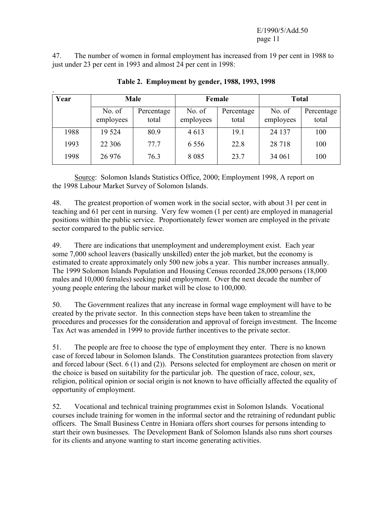47. The number of women in formal employment has increased from 19 per cent in 1988 to just under 23 per cent in 1993 and almost 24 per cent in 1998:

| Year | <b>Male</b>         |                     |                     | Female              | <b>Total</b>        |                     |  |
|------|---------------------|---------------------|---------------------|---------------------|---------------------|---------------------|--|
|      | No. of<br>employees | Percentage<br>total | No. of<br>employees | Percentage<br>total | No. of<br>employees | Percentage<br>total |  |
| 1988 | 19 5 24             | 80.9                | 4613                | 19.1                | 24 137              | 100                 |  |
| 1993 | 22 30 6             | 77.7                | 6 5 5 6             | 22.8                | 28 7 18             | 100                 |  |
| 1998 | 26 976              | 76.3                | 8 0 8 5             | 23.7                | 34 061              | 100                 |  |

**Table 2. Employment by gender, 1988, 1993, 1998** 

 Source: Solomon Islands Statistics Office, 2000; Employment 1998, A report on the 1998 Labour Market Survey of Solomon Islands.

48. The greatest proportion of women work in the social sector, with about 31 per cent in teaching and 61 per cent in nursing. Very few women (1 per cent) are employed in managerial positions within the public service. Proportionately fewer women are employed in the private sector compared to the public service.

49. There are indications that unemployment and underemployment exist. Each year some 7,000 school leavers (basically unskilled) enter the job market, but the economy is estimated to create approximately only 500 new jobs a year. This number increases annually. The 1999 Solomon Islands Population and Housing Census recorded 28,000 persons (18,000 males and 10,000 females) seeking paid employment. Over the next decade the number of young people entering the labour market will be close to 100,000.

50. The Government realizes that any increase in formal wage employment will have to be created by the private sector. In this connection steps have been taken to streamline the procedures and processes for the consideration and approval of foreign investment. The Income Tax Act was amended in 1999 to provide further incentives to the private sector.

51. The people are free to choose the type of employment they enter. There is no known case of forced labour in Solomon Islands. The Constitution guarantees protection from slavery and forced labour (Sect. 6 (1) and (2)). Persons selected for employment are chosen on merit or the choice is based on suitability for the particular job. The question of race, colour, sex, religion, political opinion or social origin is not known to have officially affected the equality of opportunity of employment.

52. Vocational and technical training programmes exist in Solomon Islands. Vocational courses include training for women in the informal sector and the retraining of redundant public officers. The Small Business Centre in Honiara offers short courses for persons intending to start their own businesses. The Development Bank of Solomon Islands also runs short courses for its clients and anyone wanting to start income generating activities.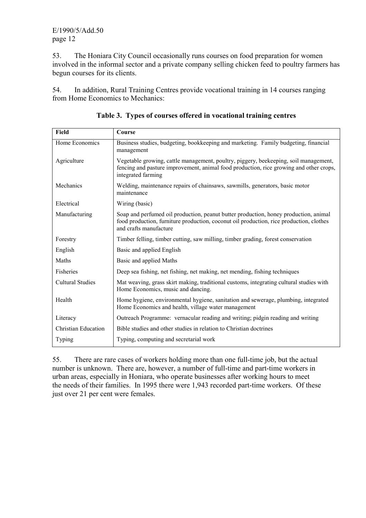53. The Honiara City Council occasionally runs courses on food preparation for women involved in the informal sector and a private company selling chicken feed to poultry farmers has begun courses for its clients.

54. In addition, Rural Training Centres provide vocational training in 14 courses ranging from Home Economics to Mechanics:

| <b>Field</b>            | Course                                                                                                                                                                                                    |
|-------------------------|-----------------------------------------------------------------------------------------------------------------------------------------------------------------------------------------------------------|
| Home Economics          | Business studies, budgeting, bookkeeping and marketing. Family budgeting, financial<br>management                                                                                                         |
| Agriculture             | Vegetable growing, cattle management, poultry, piggery, beekeeping, soil management,<br>fencing and pasture improvement, animal food production, rice growing and other crops,<br>integrated farming      |
| Mechanics               | Welding, maintenance repairs of chainsaws, sawmills, generators, basic motor<br>maintenance                                                                                                               |
| Electrical              | Wiring (basic)                                                                                                                                                                                            |
| Manufacturing           | Soap and perfumed oil production, peanut butter production, honey production, animal<br>food production, furniture production, coconut oil production, rice production, clothes<br>and crafts manufacture |
| Forestry                | Timber felling, timber cutting, saw milling, timber grading, forest conservation                                                                                                                          |
| English                 | Basic and applied English                                                                                                                                                                                 |
| Maths                   | Basic and applied Maths                                                                                                                                                                                   |
| Fisheries               | Deep sea fishing, net fishing, net making, net mending, fishing techniques                                                                                                                                |
| <b>Cultural Studies</b> | Mat weaving, grass skirt making, traditional customs, integrating cultural studies with<br>Home Economics, music and dancing.                                                                             |
| Health                  | Home hygiene, environmental hygiene, sanitation and sewerage, plumbing, integrated<br>Home Economics and health, village water management                                                                 |
| Literacy                | Outreach Programme: vernacular reading and writing; pidgin reading and writing                                                                                                                            |
| Christian Education     | Bible studies and other studies in relation to Christian doctrines                                                                                                                                        |
| Typing                  | Typing, computing and secretarial work                                                                                                                                                                    |

**Table 3. Types of courses offered in vocational training centres** 

55. There are rare cases of workers holding more than one full-time job, but the actual number is unknown. There are, however, a number of full-time and part-time workers in urban areas, especially in Honiara, who operate businesses after working hours to meet the needs of their families. In 1995 there were 1,943 recorded part-time workers. Of these just over 21 per cent were females.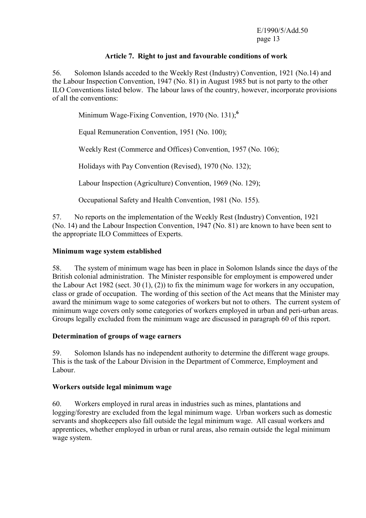#### **Article 7. Right to just and favourable conditions of work**

56. Solomon Islands acceded to the Weekly Rest (Industry) Convention, 1921 (No.14) and the Labour Inspection Convention, 1947 (No. 81) in August 1985 but is not party to the other ILO Conventions listed below. The labour laws of the country, however, incorporate provisions of all the conventions:

Minimum Wage-Fixing Convention, 1970 (No. 131);**<sup>6</sup>**

Equal Remuneration Convention, 1951 (No. 100);

Weekly Rest (Commerce and Offices) Convention, 1957 (No. 106);

Holidays with Pay Convention (Revised), 1970 (No. 132);

Labour Inspection (Agriculture) Convention, 1969 (No. 129);

Occupational Safety and Health Convention, 1981 (No. 155).

57. No reports on the implementation of the Weekly Rest (Industry) Convention, 1921 (No. 14) and the Labour Inspection Convention, 1947 (No. 81) are known to have been sent to the appropriate ILO Committees of Experts.

#### **Minimum wage system established**

58. The system of minimum wage has been in place in Solomon Islands since the days of the British colonial administration. The Minister responsible for employment is empowered under the Labour Act 1982 (sect. 30 (1), (2)) to fix the minimum wage for workers in any occupation, class or grade of occupation. The wording of this section of the Act means that the Minister may award the minimum wage to some categories of workers but not to others. The current system of minimum wage covers only some categories of workers employed in urban and peri-urban areas. Groups legally excluded from the minimum wage are discussed in paragraph 60 of this report.

#### **Determination of groups of wage earners**

59. Solomon Islands has no independent authority to determine the different wage groups. This is the task of the Labour Division in the Department of Commerce, Employment and Labour.

#### **Workers outside legal minimum wage**

60. Workers employed in rural areas in industries such as mines, plantations and logging/forestry are excluded from the legal minimum wage. Urban workers such as domestic servants and shopkeepers also fall outside the legal minimum wage. All casual workers and apprentices, whether employed in urban or rural areas, also remain outside the legal minimum wage system.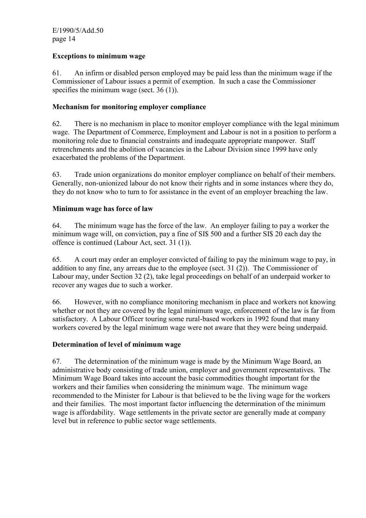# **Exceptions to minimum wage**

61. An infirm or disabled person employed may be paid less than the minimum wage if the Commissioner of Labour issues a permit of exemption. In such a case the Commissioner specifies the minimum wage (sect. 36 (1)).

#### **Mechanism for monitoring employer compliance**

62. There is no mechanism in place to monitor employer compliance with the legal minimum wage. The Department of Commerce, Employment and Labour is not in a position to perform a monitoring role due to financial constraints and inadequate appropriate manpower. Staff retrenchments and the abolition of vacancies in the Labour Division since 1999 have only exacerbated the problems of the Department.

63. Trade union organizations do monitor employer compliance on behalf of their members. Generally, non-unionized labour do not know their rights and in some instances where they do, they do not know who to turn to for assistance in the event of an employer breaching the law.

#### **Minimum wage has force of law**

64. The minimum wage has the force of the law. An employer failing to pay a worker the minimum wage will, on conviction, pay a fine of SI\$ 500 and a further SI\$ 20 each day the offence is continued (Labour Act, sect. 31 (1)).

65. A court may order an employer convicted of failing to pay the minimum wage to pay, in addition to any fine, any arrears due to the employee (sect. 31 (2)). The Commissioner of Labour may, under Section 32 (2), take legal proceedings on behalf of an underpaid worker to recover any wages due to such a worker.

66. However, with no compliance monitoring mechanism in place and workers not knowing whether or not they are covered by the legal minimum wage, enforcement of the law is far from satisfactory. A Labour Officer touring some rural-based workers in 1992 found that many workers covered by the legal minimum wage were not aware that they were being underpaid.

#### **Determination of level of minimum wage**

67. The determination of the minimum wage is made by the Minimum Wage Board, an administrative body consisting of trade union, employer and government representatives. The Minimum Wage Board takes into account the basic commodities thought important for the workers and their families when considering the minimum wage. The minimum wage recommended to the Minister for Labour is that believed to be the living wage for the workers and their families. The most important factor influencing the determination of the minimum wage is affordability. Wage settlements in the private sector are generally made at company level but in reference to public sector wage settlements.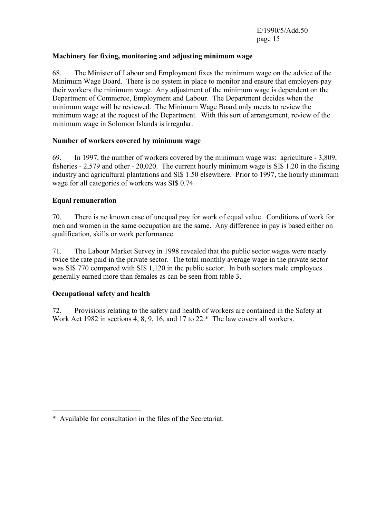#### **Machinery for fixing, monitoring and adjusting minimum wage**

68. The Minister of Labour and Employment fixes the minimum wage on the advice of the Minimum Wage Board. There is no system in place to monitor and ensure that employers pay their workers the minimum wage. Any adjustment of the minimum wage is dependent on the Department of Commerce, Employment and Labour. The Department decides when the minimum wage will be reviewed. The Minimum Wage Board only meets to review the minimum wage at the request of the Department. With this sort of arrangement, review of the minimum wage in Solomon Islands is irregular.

#### **Number of workers covered by minimum wage**

69. In 1997, the number of workers covered by the minimum wage was: agriculture - 3,809, fisheries - 2,579 and other - 20,020. The current hourly minimum wage is SI\$ 1.20 in the fishing industry and agricultural plantations and SI\$ 1.50 elsewhere. Prior to 1997, the hourly minimum wage for all categories of workers was SI\$ 0.74.

#### **Equal remuneration**

70. There is no known case of unequal pay for work of equal value. Conditions of work for men and women in the same occupation are the same. Any difference in pay is based either on qualification, skills or work performance.

71. The Labour Market Survey in 1998 revealed that the public sector wages were nearly twice the rate paid in the private sector. The total monthly average wage in the private sector was SI\$ 770 compared with SI\$ 1,120 in the public sector. In both sectors male employees generally earned more than females as can be seen from table 3.

#### **Occupational safety and health**

 $\overline{a}$ 

72. Provisions relating to the safety and health of workers are contained in the Safety at Work Act 1982 in sections 4, 8, 9, 16, and 17 to 22.\* The law covers all workers.

<sup>\*</sup> Available for consultation in the files of the Secretariat.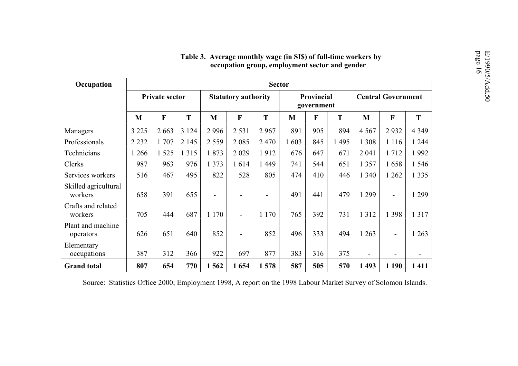| Occupation                      | <b>Sector</b> |                |         |                            |                              |                          |      |                           |     |                |                          |         |
|---------------------------------|---------------|----------------|---------|----------------------------|------------------------------|--------------------------|------|---------------------------|-----|----------------|--------------------------|---------|
|                                 |               | Private sector |         | <b>Statutory authority</b> |                              | Provincial<br>government |      | <b>Central Government</b> |     |                |                          |         |
|                                 | M             | $\mathbf F$    | T       | M                          | F                            | T                        | M    | $\mathbf{F}$              | T   | M              | F                        | T       |
| Managers                        | 3 2 2 5       | 2 6 6 3        | 3 1 2 4 | 2996                       | 2 5 3 1                      | 2967                     | 891  | 905                       | 894 | 4 5 6 7        | 2932                     | 4 3 4 9 |
| Professionals                   | 2 2 3 2       | 1707           | 2 1 4 5 | 2 5 5 9                    | 2 0 8 5                      | 2470                     | 1603 | 845                       | 495 | 1 3 0 8        | 1 1 1 6                  | 1 2 4 4 |
| Technicians                     | 266           | 1 5 2 5        | 1 3 1 5 | 1873                       | 2029                         | 1912                     | 676  | 647                       | 671 | 2 0 4 1        | 1712                     | 1992    |
| Clerks                          | 987           | 963            | 976     | 1 3 7 3                    | 1614                         | 1 4 4 9                  | 741  | 544                       | 651 | 1 3 5 7        | 1658                     | 1 5 4 6 |
| Services workers                | 516           | 467            | 495     | 822                        | 528                          | 805                      | 474  | 410                       | 446 | 1 340          | 1 2 6 2                  | 1 3 3 5 |
| Skilled agricultural<br>workers | 658           | 391            | 655     | $\blacksquare$             | $\overline{\phantom{a}}$     |                          | 491  | 441                       | 479 | 1 2 9 9        | $\overline{\phantom{a}}$ | 1 2 9 9 |
| Crafts and related<br>workers   | 705           | 444            | 687     | 1 1 7 0                    | $\qquad \qquad \blacksquare$ | 1 1 7 0                  | 765  | 392                       | 731 | 1 3 1 2        | 1 3 9 8                  | 1 3 1 7 |
| Plant and machine<br>operators  | 626           | 651            | 640     | 852                        | $\qquad \qquad \blacksquare$ | 852                      | 496  | 333                       | 494 | 1 2 6 3        | $\blacksquare$           | 1 2 6 3 |
| Elementary<br>occupations       | 387           | 312            | 366     | 922                        | 697                          | 877                      | 383  | 316                       | 375 | $\blacksquare$ |                          |         |
| <b>Grand</b> total              | 807           | 654            | 770     | 1562                       | 1654                         | 1578                     | 587  | 505                       | 570 | 1493           | 1 1 9 0                  | 1411    |

# Table 3. Average monthly wage (in SI\$) of full-time workers by<br>occupation group, employment sector and gender

Source: Statistics Office 2000; Employment 1998, A report on the 1998 Labour Market Survey of Solomon Islands.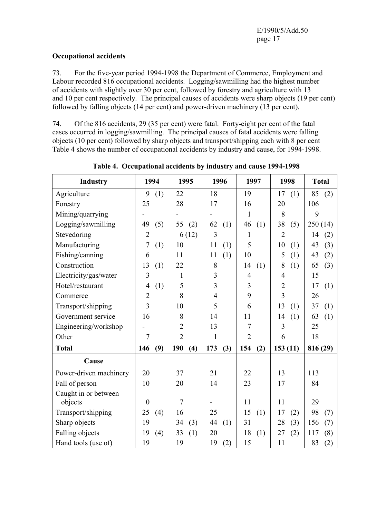#### **Occupational accidents**

73. For the five-year period 1994-1998 the Department of Commerce, Employment and Labour recorded 816 occupational accidents. Logging/sawmilling had the highest number of accidents with slightly over 30 per cent, followed by forestry and agriculture with 13 and 10 per cent respectively. The principal causes of accidents were sharp objects (19 per cent) followed by falling objects (14 per cent) and power-driven machinery (13 per cent).

74. Of the 816 accidents, 29 (35 per cent) were fatal. Forty-eight per cent of the fatal cases occurred in logging/sawmilling. The principal causes of fatal accidents were falling objects (10 per cent) followed by sharp objects and transport/shipping each with 8 per cent Table 4 shows the number of occupational accidents by industry and cause, for 1994-1998.

| <b>Industry</b>        | 1994                  | 1995           | 1996           | 1997           | 1998           | <b>Total</b> |
|------------------------|-----------------------|----------------|----------------|----------------|----------------|--------------|
| Agriculture            | 9<br>(1)              | 22             | 18             | 19             | 17<br>(1)      | 85<br>(2)    |
| Forestry               | 25                    | 28             | 17             | 16             | 20             | 106          |
| Mining/quarrying       |                       |                |                | 1              | 8              | 9            |
| Logging/sawmilling     | 49<br>(5)             | 55<br>(2)      | 62<br>(1)      | 46<br>(1)      | 38<br>(5)      | 250(14)      |
| Stevedoring            | $\overline{2}$        | 6(12)          | 3              | 1              | $\overline{2}$ | 14<br>(2)    |
| Manufacturing          | 7<br>(1)              | 10             | 11<br>(1)      | 5              | 10<br>(1)      | 43<br>(3)    |
| Fishing/canning        | 6                     | 11             | (1)<br>11      | 10             | 5<br>(1)       | 43<br>(2)    |
| Construction           | 13<br>(1)             | 22             | 8              | 14<br>(1)      | 8<br>(1)       | 65<br>(3)    |
| Electricity/gas/water  | 3                     | 1              | 3              | $\overline{4}$ | 4              | 15           |
| Hotel/restaurant       | (1)<br>$\overline{4}$ | 5              | $\overline{3}$ | 3              | $\overline{2}$ | 17<br>(1)    |
| Commerce               | $\overline{2}$        | 8              | $\overline{4}$ | 9              | 3              | 26           |
| Transport/shipping     | 3                     | 10             | 5              | 6              | 13<br>(1)      | 37<br>(1)    |
| Government service     | 16                    | 8              | 14             | 11             | 14<br>(1)      | 63<br>(1)    |
| Engineering/workshop   |                       | $\overline{2}$ | 13             | 7              | 3              | 25           |
| Other                  | $\overline{7}$        | $\overline{2}$ | 1              | $\overline{2}$ | 6              | 18           |
| <b>Total</b>           | 146<br>(9)            | 190<br>(4)     | 173<br>(3)     | 154<br>(2)     | 153(11)        | 816 (29)     |
| Cause                  |                       |                |                |                |                |              |
| Power-driven machinery | 20                    | 37             | 21             | 22             | 13             | 113          |
| Fall of person         | 10                    | 20             | 14             | 23             | 17             | 84           |
| Caught in or between   |                       |                |                |                |                |              |
| objects                | $\boldsymbol{0}$      | $\overline{7}$ |                | 11             | 11             | 29           |
| Transport/shipping     | 25<br>(4)             | 16             | 25             | 15<br>(1)      | 17<br>(2)      | 98<br>(7)    |
| Sharp objects          | 19                    | 34<br>(3)      | 44<br>(1)      | 31             | 28<br>(3)      | 156<br>(7)   |
| <b>Falling objects</b> | 19<br>(4)             | 33<br>(1)      | 20             | 18<br>(1)      | 27<br>(2)      | 117<br>(8)   |
| Hand tools (use of)    | 19                    | 19             | 19<br>(2)      | 15             | 11             | 83<br>(2)    |

**Table 4. Occupational accidents by industry and cause 1994-1998**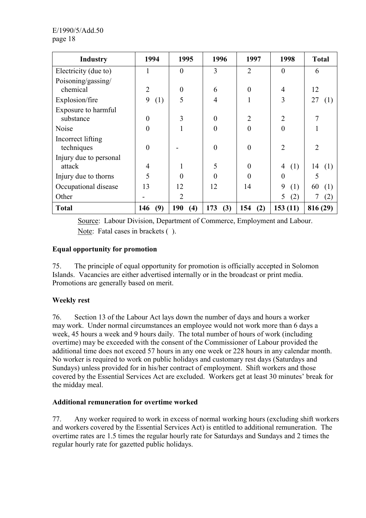| <b>Industry</b>        | 1994           | 1995           | 1996             | 1997           | 1998           | <b>Total</b>   |
|------------------------|----------------|----------------|------------------|----------------|----------------|----------------|
| Electricity (due to)   |                | $\theta$       | 3                | $\overline{2}$ | $\theta$       | 6              |
| Poisoning/gassing/     |                |                |                  |                |                |                |
| chemical               | $\overline{2}$ | $\theta$       | 6                | $\theta$       | $\overline{4}$ | 12             |
| Explosion/fire         | 9<br>(1)       | 5              | $\overline{4}$   |                | 3              | 27<br>(1)      |
| Exposure to harmful    |                |                |                  |                |                |                |
| substance              | $\theta$       | 3              | $\boldsymbol{0}$ | $\overline{2}$ | $\overline{2}$ |                |
| Noise                  | $\theta$       |                | $\overline{0}$   | $\theta$       | $\overline{0}$ |                |
| Incorrect lifting      |                |                |                  |                |                |                |
| techniques             | $\theta$       |                | $\overline{0}$   | $\theta$       | $\overline{2}$ | $\mathfrak{D}$ |
| Injury due to personal |                |                |                  |                |                |                |
| attack                 | $\overline{4}$ |                | 5                | $\Omega$       | 4<br>(1)       | 14<br>(1)      |
| Injury due to thorns   | 5              | $\theta$       | 0                | $\Omega$       | $\overline{0}$ | 5              |
| Occupational disease   | 13             | 12             | 12               | 14             | 9<br>(1)       | 60<br>(1)      |
| Other                  |                | $\overline{2}$ |                  |                | (2)<br>5       | (2)            |
| <b>Total</b>           | (9)<br>146     | 190<br>(4)     | 173<br>(3)       | 154<br>(2)     | 153(11)        | 816 (29)       |

 Source: Labour Division, Department of Commerce, Employment and Labour. Note: Fatal cases in brackets ().

#### **Equal opportunity for promotion**

75. The principle of equal opportunity for promotion is officially accepted in Solomon Islands. Vacancies are either advertised internally or in the broadcast or print media. Promotions are generally based on merit.

# **Weekly rest**

76. Section 13 of the Labour Act lays down the number of days and hours a worker may work. Under normal circumstances an employee would not work more than 6 days a week, 45 hours a week and 9 hours daily. The total number of hours of work (including overtime) may be exceeded with the consent of the Commissioner of Labour provided the additional time does not exceed 57 hours in any one week or 228 hours in any calendar month. No worker is required to work on public holidays and customary rest days (Saturdays and Sundays) unless provided for in his/her contract of employment. Shift workers and those covered by the Essential Services Act are excluded. Workers get at least 30 minutes' break for the midday meal.

#### **Additional remuneration for overtime worked**

77. Any worker required to work in excess of normal working hours (excluding shift workers and workers covered by the Essential Services Act) is entitled to additional remuneration. The overtime rates are 1.5 times the regular hourly rate for Saturdays and Sundays and 2 times the regular hourly rate for gazetted public holidays.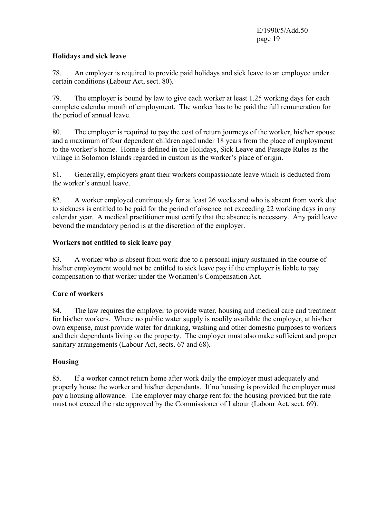#### **Holidays and sick leave**

78. An employer is required to provide paid holidays and sick leave to an employee under certain conditions (Labour Act, sect. 80).

79. The employer is bound by law to give each worker at least 1.25 working days for each complete calendar month of employment. The worker has to be paid the full remuneration for the period of annual leave.

80. The employer is required to pay the cost of return journeys of the worker, his/her spouse and a maximum of four dependent children aged under 18 years from the place of employment to the worker's home. Home is defined in the Holidays, Sick Leave and Passage Rules as the village in Solomon Islands regarded in custom as the worker's place of origin.

81. Generally, employers grant their workers compassionate leave which is deducted from the worker's annual leave.

82. A worker employed continuously for at least 26 weeks and who is absent from work due to sickness is entitled to be paid for the period of absence not exceeding 22 working days in any calendar year. A medical practitioner must certify that the absence is necessary. Any paid leave beyond the mandatory period is at the discretion of the employer.

# **Workers not entitled to sick leave pay**

83. A worker who is absent from work due to a personal injury sustained in the course of his/her employment would not be entitled to sick leave pay if the employer is liable to pay compensation to that worker under the Workmen's Compensation Act.

# **Care of workers**

84. The law requires the employer to provide water, housing and medical care and treatment for his/her workers. Where no public water supply is readily available the employer, at his/her own expense, must provide water for drinking, washing and other domestic purposes to workers and their dependants living on the property. The employer must also make sufficient and proper sanitary arrangements (Labour Act, sects. 67 and 68).

# **Housing**

85. If a worker cannot return home after work daily the employer must adequately and properly house the worker and his/her dependants. If no housing is provided the employer must pay a housing allowance. The employer may charge rent for the housing provided but the rate must not exceed the rate approved by the Commissioner of Labour (Labour Act, sect. 69).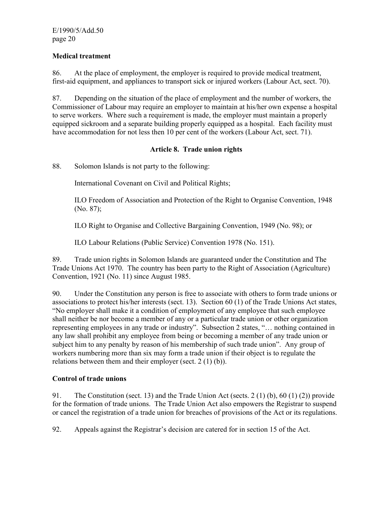#### **Medical treatment**

86. At the place of employment, the employer is required to provide medical treatment, first-aid equipment, and appliances to transport sick or injured workers (Labour Act, sect. 70).

87. Depending on the situation of the place of employment and the number of workers, the Commissioner of Labour may require an employer to maintain at his/her own expense a hospital to serve workers. Where such a requirement is made, the employer must maintain a properly equipped sickroom and a separate building properly equipped as a hospital. Each facility must have accommodation for not less then 10 per cent of the workers (Labour Act, sect. 71).

#### **Article 8. Trade union rights**

88. Solomon Islands is not party to the following:

International Covenant on Civil and Political Rights;

ILO Freedom of Association and Protection of the Right to Organise Convention, 1948 (No. 87);

ILO Right to Organise and Collective Bargaining Convention, 1949 (No. 98); or

ILO Labour Relations (Public Service) Convention 1978 (No. 151).

89. Trade union rights in Solomon Islands are guaranteed under the Constitution and The Trade Unions Act 1970. The country has been party to the Right of Association (Agriculture) Convention, 1921 (No. 11) since August 1985.

90. Under the Constitution any person is free to associate with others to form trade unions or associations to protect his/her interests (sect. 13). Section 60 (1) of the Trade Unions Act states, "No employer shall make it a condition of employment of any employee that such employee shall neither be nor become a member of any or a particular trade union or other organization representing employees in any trade or industry". Subsection 2 states, "… nothing contained in any law shall prohibit any employee from being or becoming a member of any trade union or subject him to any penalty by reason of his membership of such trade union". Any group of workers numbering more than six may form a trade union if their object is to regulate the relations between them and their employer (sect. 2 (1) (b)).

#### **Control of trade unions**

91. The Constitution (sect. 13) and the Trade Union Act (sects. 2 (1) (b), 60 (1) (2)) provide for the formation of trade unions. The Trade Union Act also empowers the Registrar to suspend or cancel the registration of a trade union for breaches of provisions of the Act or its regulations.

92. Appeals against the Registrar's decision are catered for in section 15 of the Act.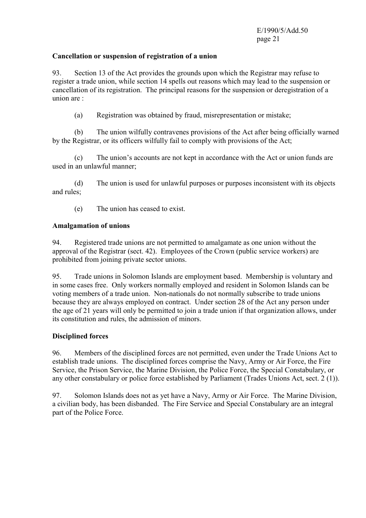#### **Cancellation or suspension of registration of a union**

93. Section 13 of the Act provides the grounds upon which the Registrar may refuse to register a trade union, while section 14 spells out reasons which may lead to the suspension or cancellation of its registration. The principal reasons for the suspension or deregistration of a union are :

(a) Registration was obtained by fraud, misrepresentation or mistake;

 (b) The union wilfully contravenes provisions of the Act after being officially warned by the Registrar, or its officers wilfully fail to comply with provisions of the Act;

 (c) The union's accounts are not kept in accordance with the Act or union funds are used in an unlawful manner;

 (d) The union is used for unlawful purposes or purposes inconsistent with its objects and rules;

(e) The union has ceased to exist.

#### **Amalgamation of unions**

94. Registered trade unions are not permitted to amalgamate as one union without the approval of the Registrar (sect. 42). Employees of the Crown (public service workers) are prohibited from joining private sector unions.

95. Trade unions in Solomon Islands are employment based. Membership is voluntary and in some cases free. Only workers normally employed and resident in Solomon Islands can be voting members of a trade union. Non-nationals do not normally subscribe to trade unions because they are always employed on contract. Under section 28 of the Act any person under the age of 21 years will only be permitted to join a trade union if that organization allows, under its constitution and rules, the admission of minors.

#### **Disciplined forces**

96. Members of the disciplined forces are not permitted, even under the Trade Unions Act to establish trade unions. The disciplined forces comprise the Navy, Army or Air Force, the Fire Service, the Prison Service, the Marine Division, the Police Force, the Special Constabulary, or any other constabulary or police force established by Parliament (Trades Unions Act, sect. 2 (1)).

97. Solomon Islands does not as yet have a Navy, Army or Air Force. The Marine Division, a civilian body, has been disbanded. The Fire Service and Special Constabulary are an integral part of the Police Force.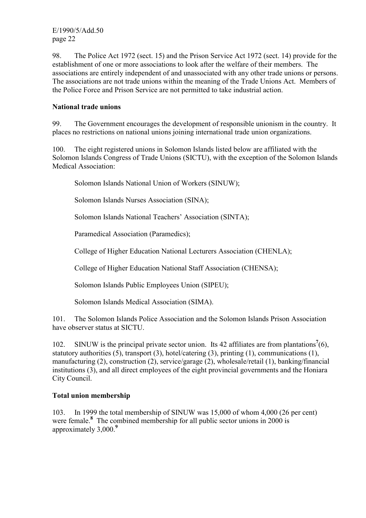98. The Police Act 1972 (sect. 15) and the Prison Service Act 1972 (sect. 14) provide for the establishment of one or more associations to look after the welfare of their members. The associations are entirely independent of and unassociated with any other trade unions or persons. The associations are not trade unions within the meaning of the Trade Unions Act. Members of the Police Force and Prison Service are not permitted to take industrial action.

#### **National trade unions**

99. The Government encourages the development of responsible unionism in the country. It places no restrictions on national unions joining international trade union organizations.

100. The eight registered unions in Solomon Islands listed below are affiliated with the Solomon Islands Congress of Trade Unions (SICTU), with the exception of the Solomon Islands Medical Association:

Solomon Islands National Union of Workers (SINUW);

Solomon Islands Nurses Association (SINA);

Solomon Islands National Teachers' Association (SINTA);

Paramedical Association (Paramedics);

College of Higher Education National Lecturers Association (CHENLA);

College of Higher Education National Staff Association (CHENSA);

Solomon Islands Public Employees Union (SIPEU);

Solomon Islands Medical Association (SIMA).

101. The Solomon Islands Police Association and the Solomon Islands Prison Association have observer status at SICTU.

102. SINUW is the principal private sector union. Its 42 affiliates are from plantations<sup>7</sup>(6), statutory authorities (5), transport (3), hotel/catering (3), printing (1), communications (1), manufacturing (2), construction (2), service/garage (2), wholesale/retail (1), banking/financial institutions (3), and all direct employees of the eight provincial governments and the Honiara City Council.

#### **Total union membership**

103. In 1999 the total membership of SINUW was 15,000 of whom 4,000 (26 per cent) were female.<sup>8</sup> The combined membership for all public sector unions in 2000 is approximately 3,000.**<sup>9</sup>**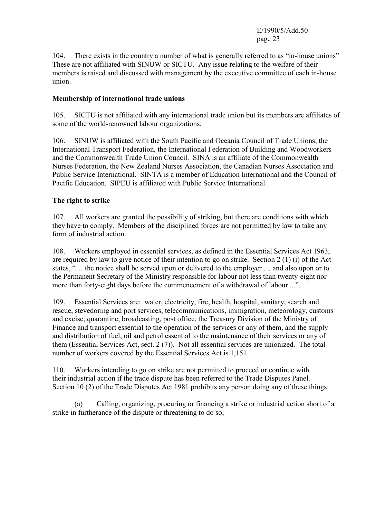104. There exists in the country a number of what is generally referred to as "in-house unions" These are not affiliated with SINUW or SICTU. Any issue relating to the welfare of their members is raised and discussed with management by the executive committee of each in-house union.

#### **Membership of international trade unions**

105. SICTU is not affiliated with any international trade union but its members are affiliates of some of the world-renowned labour organizations.

106. SINUW is affiliated with the South Pacific and Oceania Council of Trade Unions, the International Transport Federation, the International Federation of Building and Woodworkers and the Commonwealth Trade Union Council. SINA is an affiliate of the Commonwealth Nurses Federation, the New Zealand Nurses Association, the Canadian Nurses Association and Public Service International. SINTA is a member of Education International and the Council of Pacific Education. SIPEU is affiliated with Public Service International.

#### **The right to strike**

107. All workers are granted the possibility of striking, but there are conditions with which they have to comply. Members of the disciplined forces are not permitted by law to take any form of industrial action.

108. Workers employed in essential services, as defined in the Essential Services Act 1963, are required by law to give notice of their intention to go on strike. Section 2 (1) (i) of the Act states, "… the notice shall be served upon or delivered to the employer … and also upon or to the Permanent Secretary of the Ministry responsible for labour not less than twenty-eight nor more than forty-eight days before the commencement of a withdrawal of labour ...".

109. Essential Services are: water, electricity, fire, health, hospital, sanitary, search and rescue, stevedoring and port services, telecommunications, immigration, meteorology, customs and excise, quarantine, broadcasting, post office, the Treasury Division of the Ministry of Finance and transport essential to the operation of the services or any of them, and the supply and distribution of fuel, oil and petrol essential to the maintenance of their services or any of them (Essential Services Act, sect. 2 (7)). Not all essential services are unionized. The total number of workers covered by the Essential Services Act is 1,151.

110. Workers intending to go on strike are not permitted to proceed or continue with their industrial action if the trade dispute has been referred to the Trade Disputes Panel. Section 10 (2) of the Trade Disputes Act 1981 prohibits any person doing any of these things:

 (a) Calling, organizing, procuring or financing a strike or industrial action short of a strike in furtherance of the dispute or threatening to do so;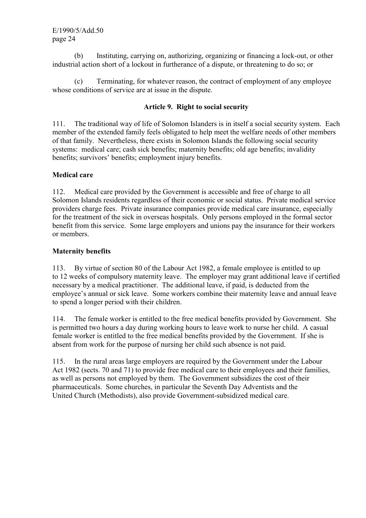(b) Instituting, carrying on, authorizing, organizing or financing a lock-out, or other industrial action short of a lockout in furtherance of a dispute, or threatening to do so; or

 (c) Terminating, for whatever reason, the contract of employment of any employee whose conditions of service are at issue in the dispute.

#### **Article 9. Right to social security**

111. The traditional way of life of Solomon Islanders is in itself a social security system. Each member of the extended family feels obligated to help meet the welfare needs of other members of that family. Nevertheless, there exists in Solomon Islands the following social security systems: medical care; cash sick benefits; maternity benefits; old age benefits; invalidity benefits; survivors' benefits; employment injury benefits.

#### **Medical care**

112. Medical care provided by the Government is accessible and free of charge to all Solomon Islands residents regardless of their economic or social status. Private medical service providers charge fees. Private insurance companies provide medical care insurance, especially for the treatment of the sick in overseas hospitals. Only persons employed in the formal sector benefit from this service. Some large employers and unions pay the insurance for their workers or members.

#### **Maternity benefits**

113. By virtue of section 80 of the Labour Act 1982, a female employee is entitled to up to 12 weeks of compulsory maternity leave. The employer may grant additional leave if certified necessary by a medical practitioner. The additional leave, if paid, is deducted from the employee's annual or sick leave. Some workers combine their maternity leave and annual leave to spend a longer period with their children.

114. The female worker is entitled to the free medical benefits provided by Government. She is permitted two hours a day during working hours to leave work to nurse her child. A casual female worker is entitled to the free medical benefits provided by the Government. If she is absent from work for the purpose of nursing her child such absence is not paid.

115. In the rural areas large employers are required by the Government under the Labour Act 1982 (sects. 70 and 71) to provide free medical care to their employees and their families, as well as persons not employed by them. The Government subsidizes the cost of their pharmaceuticals. Some churches, in particular the Seventh Day Adventists and the United Church (Methodists), also provide Government-subsidized medical care.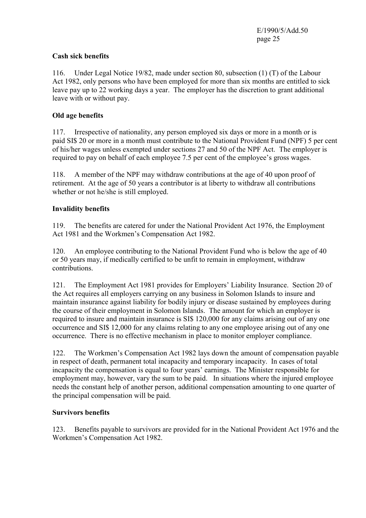# **Cash sick benefits**

116. Under Legal Notice 19/82, made under section 80, subsection (1) (T) of the Labour Act 1982, only persons who have been employed for more than six months are entitled to sick leave pay up to 22 working days a year. The employer has the discretion to grant additional leave with or without pay.

# **Old age benefits**

117. Irrespective of nationality, any person employed six days or more in a month or is paid SI\$ 20 or more in a month must contribute to the National Provident Fund (NPF) 5 per cent of his/her wages unless exempted under sections 27 and 50 of the NPF Act. The employer is required to pay on behalf of each employee 7.5 per cent of the employee's gross wages.

118. A member of the NPF may withdraw contributions at the age of 40 upon proof of retirement. At the age of 50 years a contributor is at liberty to withdraw all contributions whether or not he/she is still employed.

#### **Invalidity benefits**

119. The benefits are catered for under the National Provident Act 1976, the Employment Act 1981 and the Workmen's Compensation Act 1982.

120. An employee contributing to the National Provident Fund who is below the age of 40 or 50 years may, if medically certified to be unfit to remain in employment, withdraw contributions.

121. The Employment Act 1981 provides for Employers' Liability Insurance. Section 20 of the Act requires all employers carrying on any business in Solomon Islands to insure and maintain insurance against liability for bodily injury or disease sustained by employees during the course of their employment in Solomon Islands. The amount for which an employer is required to insure and maintain insurance is SI\$ 120,000 for any claims arising out of any one occurrence and SI\$ 12,000 for any claims relating to any one employee arising out of any one occurrence. There is no effective mechanism in place to monitor employer compliance.

122. The Workmen's Compensation Act 1982 lays down the amount of compensation payable in respect of death, permanent total incapacity and temporary incapacity. In cases of total incapacity the compensation is equal to four years' earnings. The Minister responsible for employment may, however, vary the sum to be paid. In situations where the injured employee needs the constant help of another person, additional compensation amounting to one quarter of the principal compensation will be paid.

#### **Survivors benefits**

123. Benefits payable to survivors are provided for in the National Provident Act 1976 and the Workmen's Compensation Act 1982.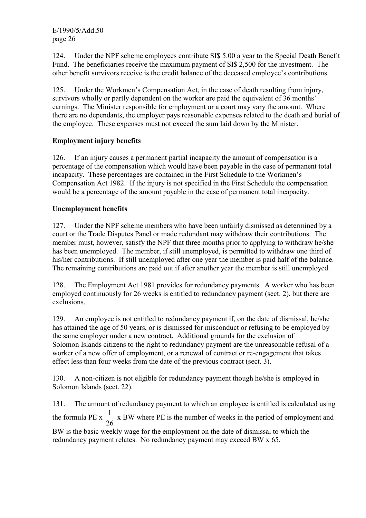124. Under the NPF scheme employees contribute SI\$ 5.00 a year to the Special Death Benefit Fund. The beneficiaries receive the maximum payment of SI\$ 2,500 for the investment. The other benefit survivors receive is the credit balance of the deceased employee's contributions.

125. Under the Workmen's Compensation Act, in the case of death resulting from injury, survivors wholly or partly dependent on the worker are paid the equivalent of 36 months' earnings. The Minister responsible for employment or a court may vary the amount. Where there are no dependants, the employer pays reasonable expenses related to the death and burial of the employee. These expenses must not exceed the sum laid down by the Minister.

# **Employment injury benefits**

126. If an injury causes a permanent partial incapacity the amount of compensation is a percentage of the compensation which would have been payable in the case of permanent total incapacity. These percentages are contained in the First Schedule to the Workmen's Compensation Act 1982. If the injury is not specified in the First Schedule the compensation would be a percentage of the amount payable in the case of permanent total incapacity.

#### **Unemployment benefits**

127. Under the NPF scheme members who have been unfairly dismissed as determined by a court or the Trade Disputes Panel or made redundant may withdraw their contributions. The member must, however, satisfy the NPF that three months prior to applying to withdraw he/she has been unemployed. The member, if still unemployed, is permitted to withdraw one third of his/her contributions. If still unemployed after one year the member is paid half of the balance. The remaining contributions are paid out if after another year the member is still unemployed.

128. The Employment Act 1981 provides for redundancy payments. A worker who has been employed continuously for 26 weeks is entitled to redundancy payment (sect. 2), but there are exclusions.

129. An employee is not entitled to redundancy payment if, on the date of dismissal, he/she has attained the age of 50 years, or is dismissed for misconduct or refusing to be employed by the same employer under a new contract. Additional grounds for the exclusion of Solomon Islands citizens to the right to redundancy payment are the unreasonable refusal of a worker of a new offer of employment, or a renewal of contract or re-engagement that takes effect less than four weeks from the date of the previous contract (sect. 3).

130. A non-citizen is not eligible for redundancy payment though he/she is employed in Solomon Islands (sect. 22).

131. The amount of redundancy payment to which an employee is entitled is calculated using the formula PE x 26  $\frac{1}{2}$  x BW where PE is the number of weeks in the period of employment and BW is the basic weekly wage for the employment on the date of dismissal to which the redundancy payment relates. No redundancy payment may exceed BW x 65.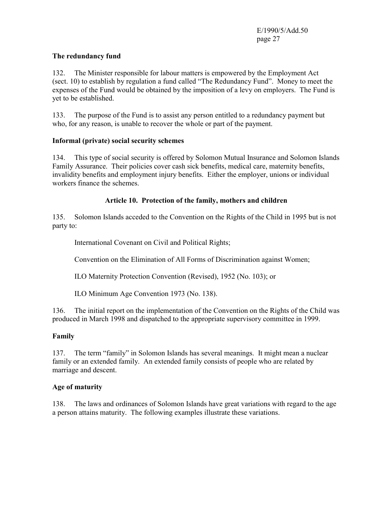#### **The redundancy fund**

132. The Minister responsible for labour matters is empowered by the Employment Act (sect. 10) to establish by regulation a fund called "The Redundancy Fund". Money to meet the expenses of the Fund would be obtained by the imposition of a levy on employers. The Fund is yet to be established.

133. The purpose of the Fund is to assist any person entitled to a redundancy payment but who, for any reason, is unable to recover the whole or part of the payment.

# **Informal (private) social security schemes**

134. This type of social security is offered by Solomon Mutual Insurance and Solomon Islands Family Assurance. Their policies cover cash sick benefits, medical care, maternity benefits, invalidity benefits and employment injury benefits. Either the employer, unions or individual workers finance the schemes.

#### **Article 10. Protection of the family, mothers and children**

135. Solomon Islands acceded to the Convention on the Rights of the Child in 1995 but is not party to:

International Covenant on Civil and Political Rights;

Convention on the Elimination of All Forms of Discrimination against Women;

ILO Maternity Protection Convention (Revised), 1952 (No. 103); or

ILO Minimum Age Convention 1973 (No. 138).

136. The initial report on the implementation of the Convention on the Rights of the Child was produced in March 1998 and dispatched to the appropriate supervisory committee in 1999.

#### **Family**

137. The term "family" in Solomon Islands has several meanings. It might mean a nuclear family or an extended family. An extended family consists of people who are related by marriage and descent.

#### **Age of maturity**

138. The laws and ordinances of Solomon Islands have great variations with regard to the age a person attains maturity. The following examples illustrate these variations.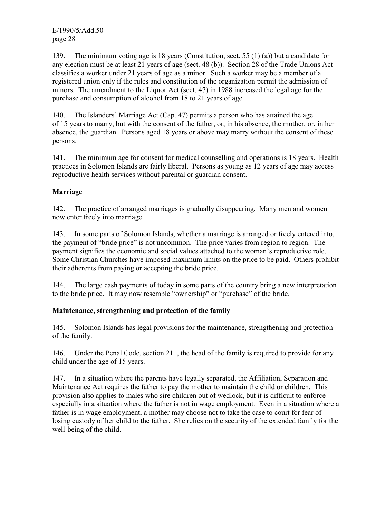139. The minimum voting age is 18 years (Constitution, sect. 55 (1) (a)) but a candidate for any election must be at least 21 years of age (sect. 48 (b)). Section 28 of the Trade Unions Act classifies a worker under 21 years of age as a minor. Such a worker may be a member of a registered union only if the rules and constitution of the organization permit the admission of minors. The amendment to the Liquor Act (sect. 47) in 1988 increased the legal age for the purchase and consumption of alcohol from 18 to 21 years of age.

140. The Islanders' Marriage Act (Cap. 47) permits a person who has attained the age of 15 years to marry, but with the consent of the father, or, in his absence, the mother, or, in her absence, the guardian. Persons aged 18 years or above may marry without the consent of these persons.

141. The minimum age for consent for medical counselling and operations is 18 years. Health practices in Solomon Islands are fairly liberal. Persons as young as 12 years of age may access reproductive health services without parental or guardian consent.

# **Marriage**

142. The practice of arranged marriages is gradually disappearing. Many men and women now enter freely into marriage.

143. In some parts of Solomon Islands, whether a marriage is arranged or freely entered into, the payment of "bride price" is not uncommon. The price varies from region to region. The payment signifies the economic and social values attached to the woman's reproductive role. Some Christian Churches have imposed maximum limits on the price to be paid. Others prohibit their adherents from paying or accepting the bride price.

144. The large cash payments of today in some parts of the country bring a new interpretation to the bride price. It may now resemble "ownership" or "purchase" of the bride.

#### **Maintenance, strengthening and protection of the family**

145. Solomon Islands has legal provisions for the maintenance, strengthening and protection of the family.

146. Under the Penal Code, section 211, the head of the family is required to provide for any child under the age of 15 years.

147. In a situation where the parents have legally separated, the Affiliation, Separation and Maintenance Act requires the father to pay the mother to maintain the child or children. This provision also applies to males who sire children out of wedlock, but it is difficult to enforce especially in a situation where the father is not in wage employment. Even in a situation where a father is in wage employment, a mother may choose not to take the case to court for fear of losing custody of her child to the father. She relies on the security of the extended family for the well-being of the child.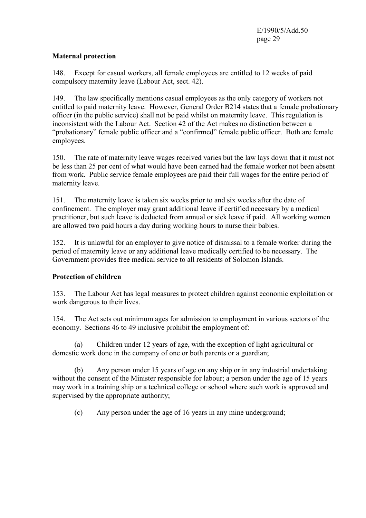# **Maternal protection**

148. Except for casual workers, all female employees are entitled to 12 weeks of paid compulsory maternity leave (Labour Act, sect. 42).

149. The law specifically mentions casual employees as the only category of workers not entitled to paid maternity leave. However, General Order B214 states that a female probationary officer (in the public service) shall not be paid whilst on maternity leave. This regulation is inconsistent with the Labour Act. Section 42 of the Act makes no distinction between a "probationary" female public officer and a "confirmed" female public officer. Both are female employees.

150. The rate of maternity leave wages received varies but the law lays down that it must not be less than 25 per cent of what would have been earned had the female worker not been absent from work. Public service female employees are paid their full wages for the entire period of maternity leave.

151. The maternity leave is taken six weeks prior to and six weeks after the date of confinement. The employer may grant additional leave if certified necessary by a medical practitioner, but such leave is deducted from annual or sick leave if paid. All working women are allowed two paid hours a day during working hours to nurse their babies.

152. It is unlawful for an employer to give notice of dismissal to a female worker during the period of maternity leave or any additional leave medically certified to be necessary. The Government provides free medical service to all residents of Solomon Islands.

# **Protection of children**

153. The Labour Act has legal measures to protect children against economic exploitation or work dangerous to their lives.

154. The Act sets out minimum ages for admission to employment in various sectors of the economy. Sections 46 to 49 inclusive prohibit the employment of:

 (a) Children under 12 years of age, with the exception of light agricultural or domestic work done in the company of one or both parents or a guardian;

 (b) Any person under 15 years of age on any ship or in any industrial undertaking without the consent of the Minister responsible for labour; a person under the age of 15 years may work in a training ship or a technical college or school where such work is approved and supervised by the appropriate authority;

(c) Any person under the age of 16 years in any mine underground;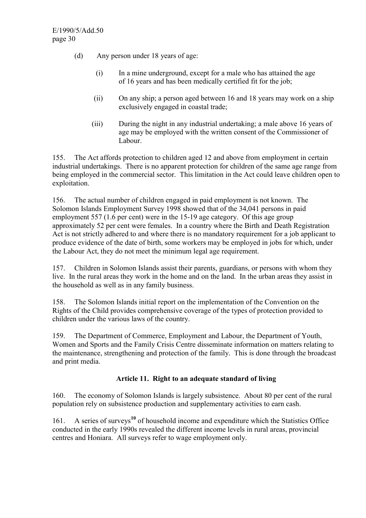- (d) Any person under 18 years of age:
	- (i) In a mine underground, except for a male who has attained the age of 16 years and has been medically certified fit for the job;
	- (ii) On any ship; a person aged between 16 and 18 years may work on a ship exclusively engaged in coastal trade;
	- (iii) During the night in any industrial undertaking; a male above 16 years of age may be employed with the written consent of the Commissioner of Labour.

155. The Act affords protection to children aged 12 and above from employment in certain industrial undertakings. There is no apparent protection for children of the same age range from being employed in the commercial sector. This limitation in the Act could leave children open to exploitation.

156. The actual number of children engaged in paid employment is not known. The Solomon Islands Employment Survey 1998 showed that of the 34,041 persons in paid employment 557 (1.6 per cent) were in the 15-19 age category. Of this age group approximately 52 per cent were females. In a country where the Birth and Death Registration Act is not strictly adhered to and where there is no mandatory requirement for a job applicant to produce evidence of the date of birth, some workers may be employed in jobs for which, under the Labour Act, they do not meet the minimum legal age requirement.

157. Children in Solomon Islands assist their parents, guardians, or persons with whom they live. In the rural areas they work in the home and on the land. In the urban areas they assist in the household as well as in any family business.

158. The Solomon Islands initial report on the implementation of the Convention on the Rights of the Child provides comprehensive coverage of the types of protection provided to children under the various laws of the country.

159. The Department of Commerce, Employment and Labour, the Department of Youth, Women and Sports and the Family Crisis Centre disseminate information on matters relating to the maintenance, strengthening and protection of the family. This is done through the broadcast and print media.

# **Article 11. Right to an adequate standard of living**

160. The economy of Solomon Islands is largely subsistence. About 80 per cent of the rural population rely on subsistence production and supplementary activities to earn cash.

161. A series of surveys**<sup>10</sup>** of household income and expenditure which the Statistics Office conducted in the early 1990s revealed the different income levels in rural areas, provincial centres and Honiara.All surveys refer to wage employment only.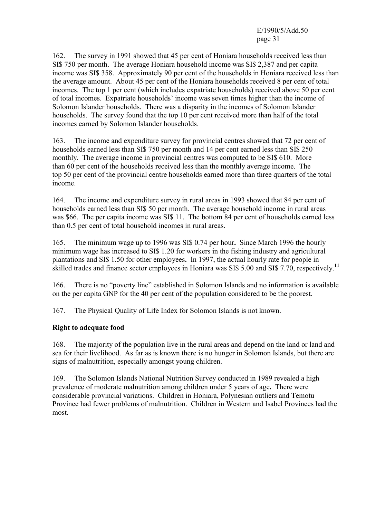162. The survey in 1991 showed that 45 per cent of Honiara households received less than SI\$ 750 per month. The average Honiara household income was SI\$ 2,387 and per capita income was SI\$ 358. Approximately 90 per cent of the households in Honiara received less than the average amount. About 45 per cent of the Honiara households received 8 per cent of total incomes. The top 1 per cent (which includes expatriate households) received above 50 per cent of total incomes. Expatriate households' income was seven times higher than the income of Solomon Islander households. There was a disparity in the incomes of Solomon Islander households. The survey found that the top 10 per cent received more than half of the total incomes earned by Solomon Islander households.

163. The income and expenditure survey for provincial centres showed that 72 per cent of households earned less than SI\$ 750 per month and 14 per cent earned less than SI\$ 250 monthly. The average income in provincial centres was computed to be SI\$ 610. More than 60 per cent of the households received less than the monthly average income. The top 50 per cent of the provincial centre households earned more than three quarters of the total income.

164. The income and expenditure survey in rural areas in 1993 showed that 84 per cent of households earned less than SI\$ 50 per month.The average household income in rural areas was \$66. The per capita income was SI\$ 11. The bottom 84 per cent of households earned less than 0.5 per cent of total household incomes in rural areas.

165. The minimum wage up to 1996 was SI\$ 0.74 per hour**.** Since March 1996 the hourly minimum wage has increased to SI\$ 1.20 for workers in the fishing industry and agricultural plantations and SI\$ 1.50 for other employees**.** In 1997, the actual hourly rate for people in skilled trades and finance sector employees in Honiara was SI\$ 5.00 and SI\$ 7.70, respectively.**<sup>11</sup>**

166. There is no "poverty line" established in Solomon Islands and no information is available on the per capita GNP for the 40 per cent of the population considered to be the poorest.

167. The Physical Quality of Life Index for Solomon Islands is not known.

#### **Right to adequate food**

168. The majority of the population live in the rural areas and depend on the land or land and sea for their livelihood. As far as is known there is no hunger in Solomon Islands, but there are signs of malnutrition, especially amongst young children.

169. The Solomon Islands National Nutrition Survey conducted in 1989 revealed a high prevalence of moderate malnutrition among children under 5 years of age**.** There were considerable provincial variations. Children in Honiara, Polynesian outliers and Temotu Province had fewer problems of malnutrition. Children in Western and Isabel Provinces had the most.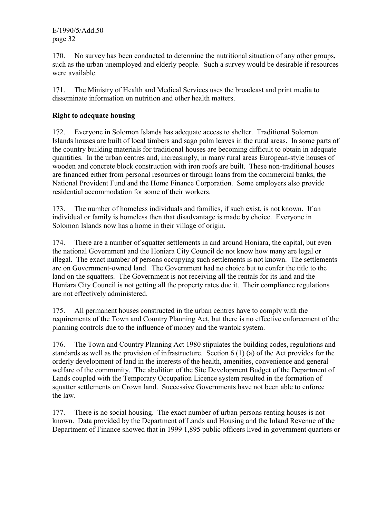170. No survey has been conducted to determine the nutritional situation of any other groups, such as the urban unemployed and elderly people. Such a survey would be desirable if resources were available.

171. The Ministry of Health and Medical Services uses the broadcast and print media to disseminate information on nutrition and other health matters.

# **Right to adequate housing**

172. Everyone in Solomon Islands has adequate access to shelter. Traditional Solomon Islands houses are built of local timbers and sago palm leaves in the rural areas. In some parts of the country building materials for traditional houses are becoming difficult to obtain in adequate quantities. In the urban centres and, increasingly, in many rural areas European-style houses of wooden and concrete block construction with iron roofs are built. These non-traditional houses are financed either from personal resources or through loans from the commercial banks, the National Provident Fund and the Home Finance Corporation. Some employers also provide residential accommodation for some of their workers.

173. The number of homeless individuals and families, if such exist, is not known. If an individual or family is homeless then that disadvantage is made by choice. Everyone in Solomon Islands now has a home in their village of origin.

174. There are a number of squatter settlements in and around Honiara, the capital, but even the national Government and the Honiara City Council do not know how many are legal or illegal. The exact number of persons occupying such settlements is not known. The settlements are on Government-owned land. The Government had no choice but to confer the title to the land on the squatters. The Government is not receiving all the rentals for its land and the Honiara City Council is not getting all the property rates due it. Their compliance regulations are not effectively administered.

175. All permanent houses constructed in the urban centres have to comply with the requirements of the Town and Country Planning Act, but there is no effective enforcement of the planning controls due to the influence of money and the wantok system.

176. The Town and Country Planning Act 1980 stipulates the building codes, regulations and standards as well as the provision of infrastructure. Section 6 (1) (a) of the Act provides for the orderly development of land in the interests of the health, amenities, convenience and general welfare of the community. The abolition of the Site Development Budget of the Department of Lands coupled with the Temporary Occupation Licence system resulted in the formation of squatter settlements on Crown land. Successive Governments have not been able to enforce the law.

177. There is no social housing. The exact number of urban persons renting houses is not known. Data provided by the Department of Lands and Housing and the Inland Revenue of the Department of Finance showed that in 1999 1,895 public officers lived in government quarters or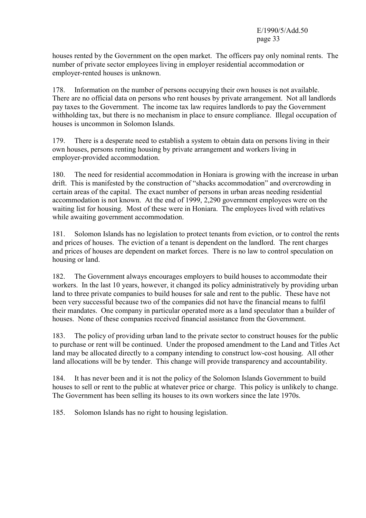houses rented by the Government on the open market. The officers pay only nominal rents. The number of private sector employees living in employer residential accommodation or employer-rented houses is unknown.

178. Information on the number of persons occupying their own houses is not available. There are no official data on persons who rent houses by private arrangement. Not all landlords pay taxes to the Government. The income tax law requires landlords to pay the Government withholding tax, but there is no mechanism in place to ensure compliance. Illegal occupation of houses is uncommon in Solomon Islands.

179. There is a desperate need to establish a system to obtain data on persons living in their own houses, persons renting housing by private arrangement and workers living in employer-provided accommodation.

180. The need for residential accommodation in Honiara is growing with the increase in urban drift. This is manifested by the construction of "shacks accommodation" and overcrowding in certain areas of the capital. The exact number of persons in urban areas needing residential accommodation is not known. At the end of 1999, 2,290 government employees were on the waiting list for housing. Most of these were in Honiara. The employees lived with relatives while awaiting government accommodation.

181. Solomon Islands has no legislation to protect tenants from eviction, or to control the rents and prices of houses. The eviction of a tenant is dependent on the landlord. The rent charges and prices of houses are dependent on market forces. There is no law to control speculation on housing or land.

182. The Government always encourages employers to build houses to accommodate their workers. In the last 10 years, however, it changed its policy administratively by providing urban land to three private companies to build houses for sale and rent to the public. These have not been very successful because two of the companies did not have the financial means to fulfil their mandates. One company in particular operated more as a land speculator than a builder of houses. None of these companies received financial assistance from the Government.

183. The policy of providing urban land to the private sector to construct houses for the public to purchase or rent will be continued. Under the proposed amendment to the Land and Titles Act land may be allocated directly to a company intending to construct low-cost housing. All other land allocations will be by tender. This change will provide transparency and accountability.

184. It has never been and it is not the policy of the Solomon Islands Government to build houses to sell or rent to the public at whatever price or charge. This policy is unlikely to change. The Government has been selling its houses to its own workers since the late 1970s.

185. Solomon Islands has no right to housing legislation.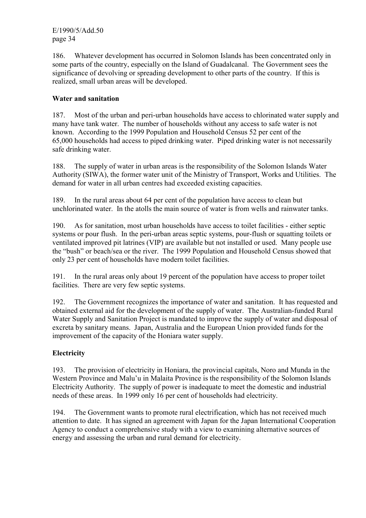186. Whatever development has occurred in Solomon Islands has been concentrated only in some parts of the country, especially on the Island of Guadalcanal. The Government sees the significance of devolving or spreading development to other parts of the country. If this is realized, small urban areas will be developed.

# **Water and sanitation**

187. Most of the urban and peri-urban households have access to chlorinated water supply and many have tank water. The number of households without any access to safe water is not known. According to the 1999 Population and Household Census 52 per cent of the 65,000 households had access to piped drinking water. Piped drinking water is not necessarily safe drinking water.

188. The supply of water in urban areas is the responsibility of the Solomon Islands Water Authority (SIWA), the former water unit of the Ministry of Transport, Works and Utilities. The demand for water in all urban centres had exceeded existing capacities.

189. In the rural areas about 64 per cent of the population have access to clean but unchlorinated water. In the atolls the main source of water is from wells and rainwater tanks.

190. As for sanitation, most urban households have access to toilet facilities - either septic systems or pour flush. In the peri-urban areas septic systems, pour-flush or squatting toilets or ventilated improved pit latrines (VIP) are available but not installed or used. Many people use the "bush" or beach/sea or the river. The 1999 Population and Household Census showed that only 23 per cent of households have modern toilet facilities.

191. In the rural areas only about 19 percent of the population have access to proper toilet facilities. There are very few septic systems.

192. The Government recognizes the importance of water and sanitation. It has requested and obtained external aid for the development of the supply of water. The Australian-funded Rural Water Supply and Sanitation Project is mandated to improve the supply of water and disposal of excreta by sanitary means. Japan, Australia and the European Union provided funds for the improvement of the capacity of the Honiara water supply.

# **Electricity**

193. The provision of electricity in Honiara, the provincial capitals, Noro and Munda in the Western Province and Malu'u in Malaita Province is the responsibility of the Solomon Islands Electricity Authority. The supply of power is inadequate to meet the domestic and industrial needs of these areas. In 1999 only 16 per cent of households had electricity.

194. The Government wants to promote rural electrification, which has not received much attention to date. It has signed an agreement with Japan for the Japan International Cooperation Agency to conduct a comprehensive study with a view to examining alternative sources of energy and assessing the urban and rural demand for electricity.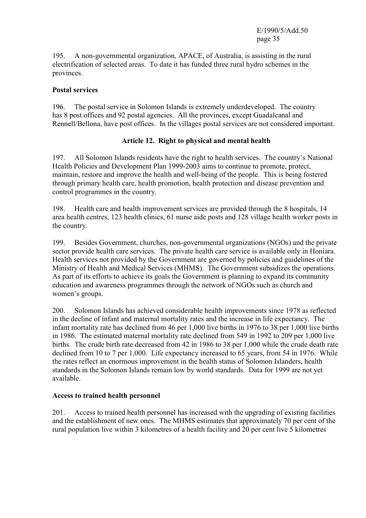195. A non-governmental organization, APACE, of Australia, is assisting in the rural electrification of selected areas. To date it has funded three rural hydro schemes in the provinces.

#### **Postal services**

196. The postal service in Solomon Islands is extremely underdeveloped. The country has 8 post offices and 92 postal agencies. All the provinces, except Guadalcanal and Rennell/Bellona, have post offices. In the villages postal services are not considered important.

#### **Article 12. Right to physical and mental health**

197. All Solomon Islands residents have the right to health services. The country's National Health Policies and Development Plan 1999-2003 aims to continue to promote, protect, maintain, restore and improve the health and well-being of the people. This is being fostered through primary health care, health promotion, health protection and disease prevention and control programmes in the country.

198. Health care and health improvement services are provided through the 8 hospitals, 14 area health centres, 123 health clinics, 61 nurse aide posts and 128 village health worker posts in the country.

199. Besides Government, churches, non-governmental organizations (NGOs) and the private sector provide health care services. The private health care service is available only in Honiara. Health services not provided by the Government are governed by policies and guidelines of the Ministry of Health and Medical Services (MHMS). The Government subsidizes the operations. As part of its efforts to achieve its goals the Government is planning to expand its community education and awareness programmes through the network of NGOs such as church and women's groups.

200. Solomon Islands has achieved considerable health improvements since 1978 as reflected in the decline of infant and maternal mortality rates and the increase in life expectancy. The infant mortality rate has declined from 46 per 1,000 live births in 1976 to 38 per 1,000 live births in 1986. The estimated maternal mortality rate declined from 549 in 1992 to 209 per 1,000 live births. The crude birth rate decreased from 42 in 1986 to 38 per 1,000 while the crude death rate declined from 10 to 7 per 1,000. Life expectancy increased to 65 years, from 54 in 1976. While the rates reflect an enormous improvement in the health status of Solomon Islanders, health standards in the Solomon Islands remain low by world standards. Data for 1999 are not yet available.

#### **Access to trained health personnel**

201. Access to trained health personnel has increased with the upgrading of existing facilities and the establishment of new ones. The MHMS estimates that approximately 70 per cent of the rural population live within 3 kilometres of a health facility and 20 per cent live 5 kilometres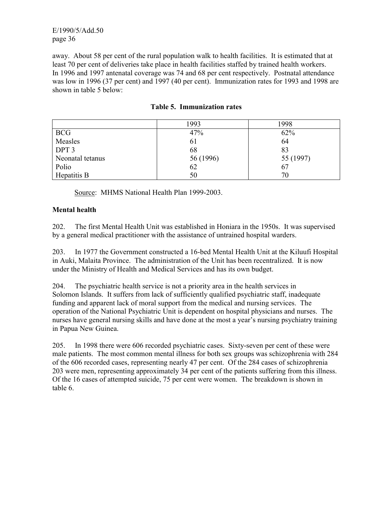away. About 58 per cent of the rural population walk to health facilities. It is estimated that at least 70 per cent of deliveries take place in health facilities staffed by trained health workers. In 1996 and 1997 antenatal coverage was 74 and 68 per cent respectively. Postnatal attendance was low in 1996 (37 per cent) and 1997 (40 per cent). Immunization rates for 1993 and 1998 are shown in table 5 below:

|                  | 1993      | 1998      |
|------------------|-----------|-----------|
| <b>BCG</b>       | 47%       | 62%       |
| Measles          | 61        | 64        |
| DPT <sub>3</sub> | 68        | 83        |
| Neonatal tetanus | 56 (1996) | 55 (1997) |
| Polio            | 62        | 67        |
| Hepatitis B      | 50        | 70        |

# **Table 5. Immunization rates**

Source: MHMS National Health Plan 1999-2003.

# **Mental health**

202. The first Mental Health Unit was established in Honiara in the 1950s. It was supervised by a general medical practitioner with the assistance of untrained hospital warders.

203. In 1977 the Government constructed a 16-bed Mental Health Unit at the Kiluufi Hospital in Auki, Malaita Province. The administration of the Unit has been recentralized. It is now under the Ministry of Health and Medical Services and has its own budget.

204. The psychiatric health service is not a priority area in the health services in Solomon Islands. It suffers from lack of sufficiently qualified psychiatric staff, inadequate funding and apparent lack of moral support from the medical and nursing services. The operation of the National Psychiatric Unit is dependent on hospital physicians and nurses. The nurses have general nursing skills and have done at the most a year's nursing psychiatry training in Papua New Guinea.

205. In 1998 there were 606 recorded psychiatric cases. Sixty-seven per cent of these were male patients. The most common mental illness for both sex groups was schizophrenia with 284 of the 606 recorded cases, representing nearly 47 per cent. Of the 284 cases of schizophrenia 203 were men, representing approximately 34 per cent of the patients suffering from this illness. Of the 16 cases of attempted suicide, 75 per cent were women. The breakdown is shown in table 6.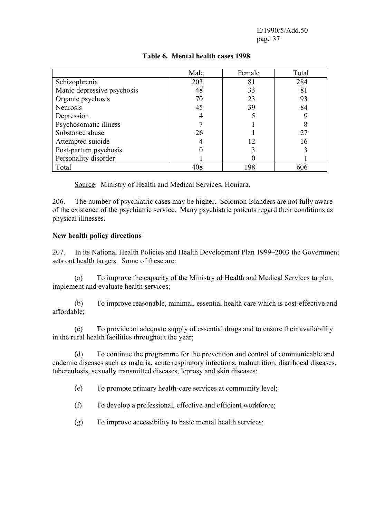|                            | Male | Female | Total |
|----------------------------|------|--------|-------|
| Schizophrenia              | 203  | 81     | 284   |
| Manic depressive psychosis | 48   | 33     | 81    |
| Organic psychosis          | 70   | 23     | 93    |
| <b>Neurosis</b>            | 45   | 39     | 84    |
| Depression                 |      |        |       |
| Psychosomatic illness      |      |        |       |
| Substance abuse            | 26   |        | 27    |
| Attempted suicide          | 4    | 12     | 16    |
| Post-partum psychosis      |      |        |       |
| Personality disorder       |      |        |       |
| Total                      | 408  | 198    | 606   |

# **Table 6. Mental health cases 1998**

Source: Ministry of Health and Medical Services, Honiara.

206. The number of psychiatric cases may be higher. Solomon Islanders are not fully aware of the existence of the psychiatric service. Many psychiatric patients regard their conditions as physical illnesses.

#### **New health policy directions**

207. In its National Health Policies and Health Development Plan 1999–2003 the Government sets out health targets. Some of these are:

 (a) To improve the capacity of the Ministry of Health and Medical Services to plan, implement and evaluate health services;

 (b) To improve reasonable, minimal, essential health care which is cost-effective and affordable;

 (c) To provide an adequate supply of essential drugs and to ensure their availability in the rural health facilities throughout the year;

 (d) To continue the programme for the prevention and control of communicable and endemic diseases such as malaria, acute respiratory infections, malnutrition, diarrhoeal diseases, tuberculosis, sexually transmitted diseases, leprosy and skin diseases;

- (e) To promote primary health-care services at community level;
- (f) To develop a professional, effective and efficient workforce;
- (g) To improve accessibility to basic mental health services;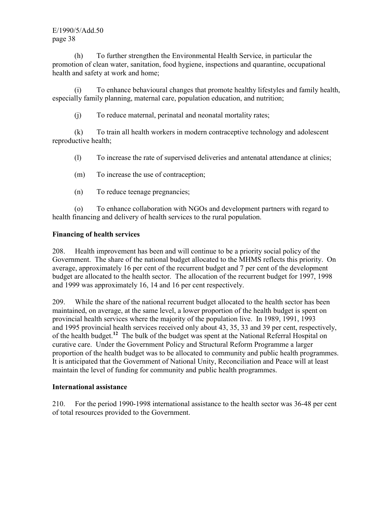(h) To further strengthen the Environmental Health Service, in particular the promotion of clean water, sanitation, food hygiene, inspections and quarantine, occupational health and safety at work and home;

 (i) To enhance behavioural changes that promote healthy lifestyles and family health, especially family planning, maternal care, population education, and nutrition;

(j) To reduce maternal, perinatal and neonatal mortality rates;

 (k) To train all health workers in modern contraceptive technology and adolescent reproductive health;

(l) To increase the rate of supervised deliveries and antenatal attendance at clinics;

(m) To increase the use of contraception;

(n) To reduce teenage pregnancies;

 (o) To enhance collaboration with NGOs and development partners with regard to health financing and delivery of health services to the rural population.

#### **Financing of health services**

208. Health improvement has been and will continue to be a priority social policy of the Government. The share of the national budget allocated to the MHMS reflects this priority. On average, approximately 16 per cent of the recurrent budget and 7 per cent of the development budget are allocated to the health sector. The allocation of the recurrent budget for 1997, 1998 and 1999 was approximately 16, 14 and 16 per cent respectively.

209. While the share of the national recurrent budget allocated to the health sector has been maintained, on average, at the same level, a lower proportion of the health budget is spent on provincial health services where the majority of the population live. In 1989, 1991, 1993 and 1995 provincial health services received only about 43, 35, 33 and 39 per cent, respectively, of the health budget.**<sup>12</sup>** The bulk of the budget was spent at the National Referral Hospital on curative care. Under the Government Policy and Structural Reform Programme a larger proportion of the health budget was to be allocated to community and public health programmes. It is anticipated that the Government of National Unity, Reconciliation and Peace will at least maintain the level of funding for community and public health programmes.

#### **International assistance**

210. For the period 1990-1998 international assistance to the health sector was 36-48 per cent of total resources provided to the Government.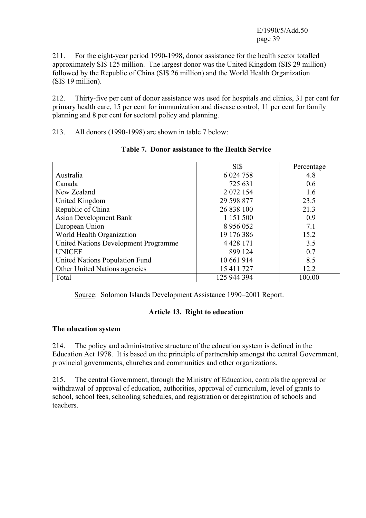211. For the eight-year period 1990-1998, donor assistance for the health sector totalled approximately SI\$ 125 million. The largest donor was the United Kingdom (SI\$ 29 million) followed by the Republic of China (SI\$ 26 million) and the World Health Organization (SI\$ 19 million).

212. Thirty-five per cent of donor assistance was used for hospitals and clinics, 31 per cent for primary health care, 15 per cent for immunization and disease control, 11 per cent for family planning and 8 per cent for sectoral policy and planning.

213. All donors (1990-1998) are shown in table 7 below:

|                                      | <b>SIS</b>    | Percentage |
|--------------------------------------|---------------|------------|
| Australia                            | 6 0 24 7 58   | 4.8        |
| Canada                               | 725 631       | 0.6        |
| New Zealand                          | 2 0 7 2 1 5 4 | 1.6        |
| United Kingdom                       | 29 598 877    | 23.5       |
| Republic of China                    | 26 838 100    | 21.3       |
| <b>Asian Development Bank</b>        | 1 1 5 1 5 0 0 | 0.9        |
| European Union                       | 8 9 5 6 0 5 2 | 7.1        |
| World Health Organization            | 19 176 386    | 15.2       |
| United Nations Development Programme | 4 4 28 1 71   | 3.5        |
| <b>UNICEF</b>                        | 899 124       | 0.7        |
| United Nations Population Fund       | 10 661 914    | 8.5        |
| Other United Nations agencies        | 15 411 727    | 12.2       |
| Total                                | 125 944 394   | 100.00     |

# **Table 7. Donor assistance to the Health Service**

Source: Solomon Islands Development Assistance 1990–2001 Report.

# **Article 13. Right to education**

#### **The education system**

214. The policy and administrative structure of the education system is defined in the Education Act 1978. It is based on the principle of partnership amongst the central Government, provincial governments, churches and communities and other organizations.

215. The central Government, through the Ministry of Education, controls the approval or withdrawal of approval of education, authorities, approval of curriculum, level of grants to school, school fees, schooling schedules, and registration or deregistration of schools and teachers.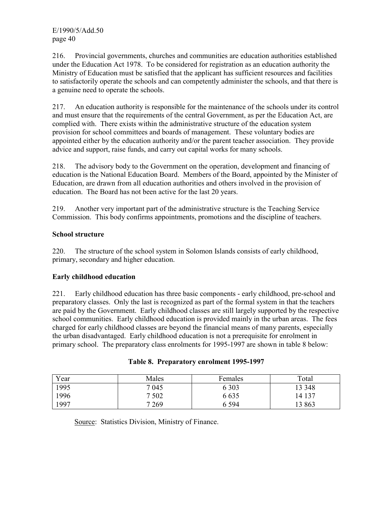216. Provincial governments, churches and communities are education authorities established under the Education Act 1978. To be considered for registration as an education authority the Ministry of Education must be satisfied that the applicant has sufficient resources and facilities to satisfactorily operate the schools and can competently administer the schools, and that there is a genuine need to operate the schools.

217. An education authority is responsible for the maintenance of the schools under its control and must ensure that the requirements of the central Government, as per the Education Act, are complied with. There exists within the administrative structure of the education system provision for school committees and boards of management. These voluntary bodies are appointed either by the education authority and/or the parent teacher association. They provide advice and support, raise funds, and carry out capital works for many schools.

218. The advisory body to the Government on the operation, development and financing of education is the National Education Board. Members of the Board, appointed by the Minister of Education, are drawn from all education authorities and others involved in the provision of education. The Board has not been active for the last 20 years.

219. Another very important part of the administrative structure is the Teaching Service Commission. This body confirms appointments, promotions and the discipline of teachers.

#### **School structure**

220. The structure of the school system in Solomon Islands consists of early childhood, primary, secondary and higher education.

#### **Early childhood education**

221. Early childhood education has three basic components - early childhood, pre-school and preparatory classes. Only the last is recognized as part of the formal system in that the teachers are paid by the Government. Early childhood classes are still largely supported by the respective school communities. Early childhood education is provided mainly in the urban areas. The fees charged for early childhood classes are beyond the financial means of many parents, especially the urban disadvantaged. Early childhood education is not a prerequisite for enrolment in primary school. The preparatory class enrolments for 1995-1997 are shown in table 8 below:

| Year | Males   | Females | Total  |
|------|---------|---------|--------|
| 1995 | 7 0 4 5 | 6 3 0 3 | 13 348 |
| 1996 | 7 5 0 2 | 6 635   | 14 137 |
| 1997 | 7 2 6 9 | 6 5 9 4 | 13 863 |

|  |  | Table 8. Preparatory enrolment 1995-1997 |  |
|--|--|------------------------------------------|--|
|--|--|------------------------------------------|--|

Source: Statistics Division, Ministry of Finance.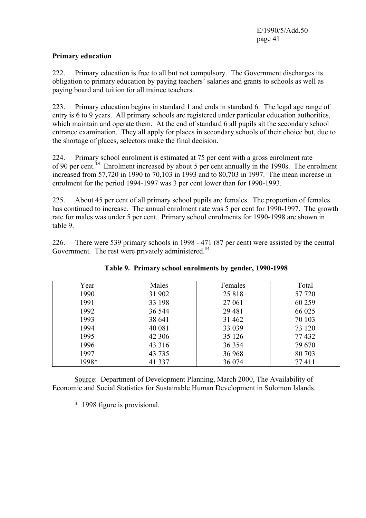#### **Primary education**

222. Primary education is free to all but not compulsory. The Government discharges its obligation to primary education by paying teachers' salaries and grants to schools as well as paying board and tuition for all trainee teachers.

223. Primary education begins in standard 1 and ends in standard 6. The legal age range of entry is 6 to 9 years. All primary schools are registered under particular education authorities, which maintain and operate them. At the end of standard 6 all pupils sit the secondary school entrance examination. They all apply for places in secondary schools of their choice but, due to the shortage of places, selectors make the final decision.

224. Primary school enrolment is estimated at 75 per cent with a gross enrolment rate of 90 per cent.<sup>13</sup> Enrolment increased by about 5 per cent annually in the 1990s. The enrolment increased from 57,720 in 1990 to 70,103 in 1993 and to 80,703 in 1997. The mean increase in enrolment for the period 1994-1997 was 3 per cent lower than for 1990-1993.

225. About 45 per cent of all primary school pupils are females. The proportion of females has continued to increase. The annual enrolment rate was 5 per cent for 1990-1997. The growth rate for males was under 5 per cent. Primary school enrolments for 1990-1998 are shown in table 9.

226. There were 539 primary schools in 1998 - 471 (87 per cent) were assisted by the central Government. The rest were privately administered.**<sup>14</sup>**

| Year  | Males    | Females  | Total  |
|-------|----------|----------|--------|
| 1990  | 31 902   | 25 818   | 57 720 |
| 1991  | 33 198   | 27 061   | 60 259 |
| 1992  | 36 544   | 29 4 8 1 | 66 025 |
| 1993  | 38 641   | 31 4 62  | 70 103 |
| 1994  | 40 081   | 33 039   | 73 120 |
| 1995  | 42 30 6  | 35 1 26  | 77432  |
| 1996  | 43 3 16  | 36 354   | 79 670 |
| 1997  | 43 7 35  | 36 968   | 80 703 |
| 1998* | 41 3 3 7 | 36 074   | 77411  |

**Table 9. Primary school enrolments by gender, 1990-1998** 

 Source: Department of Development Planning, March 2000, The Availability of Economic and Social Statistics for Sustainable Human Development in Solomon Islands.

\* 1998 figure is provisional.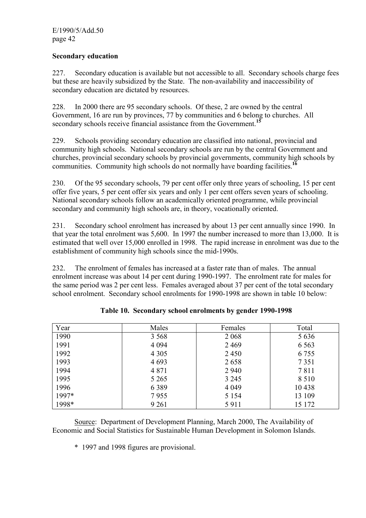#### **Secondary education**

227. Secondary education is available but not accessible to all. Secondary schools charge fees but these are heavily subsidized by the State. The non-availability and inaccessibility of secondary education are dictated by resources.

228. In 2000 there are 95 secondary schools. Of these, 2 are owned by the central Government, 16 are run by provinces, 77 by communities and 6 belong to churches. All secondary schools receive financial assistance from the Government.**<sup>15</sup>**

229. Schools providing secondary education are classified into national, provincial and community high schools. National secondary schools are run by the central Government and churches, provincial secondary schools by provincial governments, community high schools by communities. Community high schools do not normally have boarding facilities.**<sup>16</sup>**

230. Of the 95 secondary schools, 79 per cent offer only three years of schooling, 15 per cent offer five years, 5 per cent offer six years and only 1 per cent offers seven years of schooling. National secondary schools follow an academically oriented programme, while provincial secondary and community high schools are, in theory, vocationally oriented.

231. Secondary school enrolment has increased by about 13 per cent annually since 1990. In that year the total enrolment was 5,600. In 1997 the number increased to more than 13,000. It is estimated that well over 15,000 enrolled in 1998. The rapid increase in enrolment was due to the establishment of community high schools since the mid-1990s.

232. The enrolment of females has increased at a faster rate than of males. The annual enrolment increase was about 14 per cent during 1990-1997. The enrolment rate for males for the same period was 2 per cent less. Females averaged about 37 per cent of the total secondary school enrolment. Secondary school enrolments for 1990-1998 are shown in table 10 below:

| Year  | Males   | Females | Total   |
|-------|---------|---------|---------|
| 1990  | 3 5 6 8 | 2 0 6 8 | 5 6 3 6 |
| 1991  | 4 0 9 4 | 2469    | 6 5 6 3 |
| 1992  | 4 3 0 5 | 2450    | 6 7 5 5 |
| 1993  | 4 6 9 3 | 2658    | 7 3 5 1 |
| 1994  | 4 8 7 1 | 2 9 4 0 | 7811    |
| 1995  | 5 2 6 5 | 3 2 4 5 | 8 5 1 0 |
| 1996  | 6 3 8 9 | 4 0 4 9 | 10438   |
| 1997* | 7955    | 5 1 5 4 | 13 109  |
| 1998* | 9 2 6 1 | 5911    | 15 172  |

|  |  |  | Table 10. Secondary school enrolments by gender 1990-1998 |  |  |  |
|--|--|--|-----------------------------------------------------------|--|--|--|
|--|--|--|-----------------------------------------------------------|--|--|--|

 Source: Department of Development Planning, March 2000, The Availability of Economic and Social Statistics for Sustainable Human Development in Solomon Islands.

\*1997 and 1998 figures are provisional.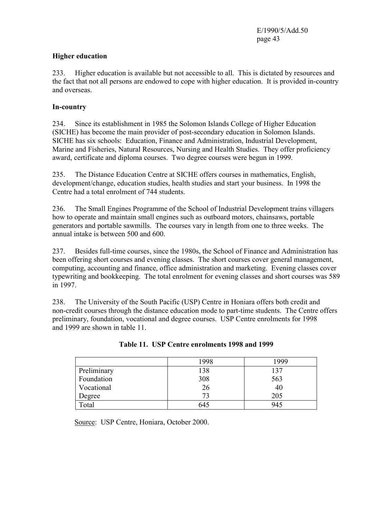#### **Higher education**

233. Higher education is available but not accessible to all. This is dictated by resources and the fact that not all persons are endowed to cope with higher education. It is provided in-country and overseas.

# **In-country**

234. Since its establishment in 1985 the Solomon Islands College of Higher Education (SICHE) has become the main provider of post-secondary education in Solomon Islands. SICHE has six schools: Education, Finance and Administration, Industrial Development, Marine and Fisheries, Natural Resources, Nursing and Health Studies. They offer proficiency award, certificate and diploma courses. Two degree courses were begun in 1999.

235. The Distance Education Centre at SICHE offers courses in mathematics, English, development/change, education studies, health studies and start your business. In 1998 the Centre had a total enrolment of 744 students.

236. The Small Engines Programme of the School of Industrial Development trains villagers how to operate and maintain small engines such as outboard motors, chainsaws, portable generators and portable sawmills. The courses vary in length from one to three weeks. The annual intake is between 500 and 600.

237. Besides full-time courses, since the 1980s, the School of Finance and Administration has been offering short courses and evening classes. The short courses cover general management, computing, accounting and finance, office administration and marketing. Evening classes cover typewriting and bookkeeping. The total enrolment for evening classes and short courses was 589 in 1997.

238. The University of the South Pacific (USP) Centre in Honiara offers both credit and non-credit courses through the distance education mode to part-time students. The Centre offers preliminary, foundation, vocational and degree courses. USP Centre enrolments for 1998 and 1999 are shown in table 11.

|                        | 1998 | 1999 |
|------------------------|------|------|
| Preliminary            | 138  | 137  |
| Foundation             | 308  | 563  |
| Vocational             | 26   | 40   |
| Degree                 | 73   | 205  |
| $\tau$ <sub>otal</sub> | 645  | 945  |

| Table 11. USP Centre enrolments 1998 and 1999 |  |
|-----------------------------------------------|--|
|-----------------------------------------------|--|

Source: USP Centre, Honiara, October 2000.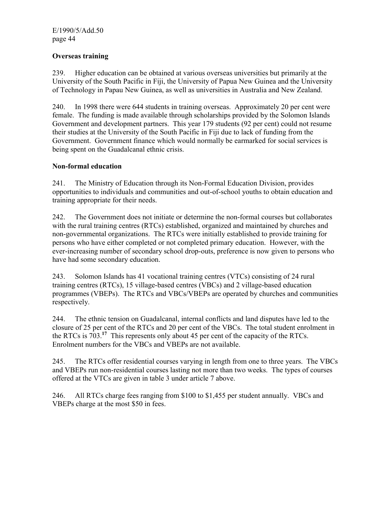#### **Overseas training**

239. Higher education can be obtained at various overseas universities but primarily at the University of the South Pacific in Fiji, the University of Papua New Guinea and the University of Technology in Papau New Guinea, as well as universities in Australia and New Zealand.

240. In 1998 there were 644 students in training overseas. Approximately 20 per cent were female. The funding is made available through scholarships provided by the Solomon Islands Government and development partners. This year 179 students (92 per cent) could not resume their studies at the University of the South Pacific in Fiji due to lack of funding from the Government. Government finance which would normally be earmarked for social services is being spent on the Guadalcanal ethnic crisis.

#### **Non-formal education**

241. The Ministry of Education through its Non-Formal Education Division, provides opportunities to individuals and communities and out-of-school youths to obtain education and training appropriate for their needs.

242. The Government does not initiate or determine the non-formal courses but collaborates with the rural training centres (RTCs) established, organized and maintained by churches and non-governmental organizations. The RTCs were initially established to provide training for persons who have either completed or not completed primary education. However, with the ever-increasing number of secondary school drop-outs, preference is now given to persons who have had some secondary education.

243. Solomon Islands has 41 vocational training centres (VTCs) consisting of 24 rural training centres (RTCs), 15 village-based centres (VBCs) and 2 village-based education programmes (VBEPs). The RTCs and VBCs/VBEPs are operated by churches and communities respectively.

244. The ethnic tension on Guadalcanal, internal conflicts and land disputes have led to the closure of 25 per cent of the RTCs and 20 per cent of the VBCs. The total student enrolment in the RTCs is 703.**<sup>17</sup>** This represents only about 45 per cent of the capacity of the RTCs. Enrolment numbers for the VBCs and VBEPs are not available.

245. The RTCs offer residential courses varying in length from one to three years. The VBCs and VBEPs run non-residential courses lasting not more than two weeks. The types of courses offered at the VTCs are given in table 3 under article 7 above.

246. All RTCs charge fees ranging from \$100 to \$1,455 per student annually. VBCs and VBEPs charge at the most \$50 in fees.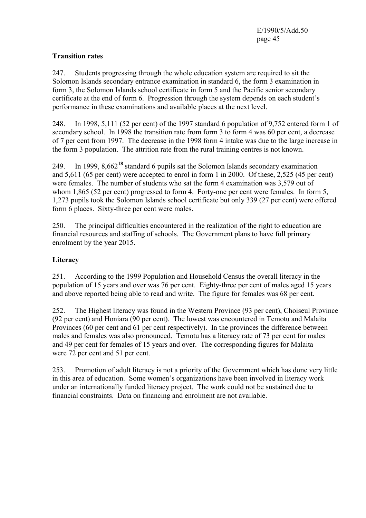#### **Transition rates**

247. Students progressing through the whole education system are required to sit the Solomon Islands secondary entrance examination in standard 6, the form 3 examination in form 3, the Solomon Islands school certificate in form 5 and the Pacific senior secondary certificate at the end of form 6. Progression through the system depends on each student's performance in these examinations and available places at the next level.

248. In 1998, 5,111 (52 per cent) of the 1997 standard 6 population of 9,752 entered form 1 of secondary school. In 1998 the transition rate from form 3 to form 4 was 60 per cent, a decrease of 7 per cent from 1997. The decrease in the 1998 form 4 intake was due to the large increase in the form 3 population. The attrition rate from the rural training centres is not known.

249. In 1999, 8,662**<sup>18</sup>** standard 6 pupils sat the Solomon Islands secondary examination and 5,611 (65 per cent) were accepted to enrol in form 1 in 2000. Of these, 2,525 (45 per cent) were females. The number of students who sat the form 4 examination was 3,579 out of whom 1,865 (52 per cent) progressed to form 4. Forty-one per cent were females. In form 5, 1,273 pupils took the Solomon Islands school certificate but only 339 (27 per cent) were offered form 6 places. Sixty-three per cent were males.

250. The principal difficulties encountered in the realization of the right to education are financial resources and staffing of schools. The Government plans to have full primary enrolment by the year 2015.

#### **Literacy**

251. According to the 1999 Population and Household Census the overall literacy in the population of 15 years and over was 76 per cent. Eighty-three per cent of males aged 15 years and above reported being able to read and write. The figure for females was 68 per cent.

252. The Highest literacy was found in the Western Province (93 per cent), Choiseul Province (92 per cent) and Honiara (90 per cent). The lowest was encountered in Temotu and Malaita Provinces (60 per cent and 61 per cent respectively). In the provinces the difference between males and females was also pronounced. Temotu has a literacy rate of 73 per cent for males and 49 per cent for females of 15 years and over. The corresponding figures for Malaita were 72 per cent and 51 per cent.

253. Promotion of adult literacy is not a priority of the Government which has done very little in this area of education. Some women's organizations have been involved in literacy work under an internationally funded literacy project. The work could not be sustained due to financial constraints. Data on financing and enrolment are not available.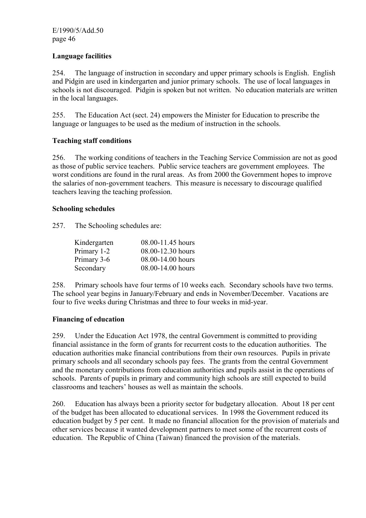#### **Language facilities**

254. The language of instruction in secondary and upper primary schools is English. English and Pidgin are used in kindergarten and junior primary schools. The use of local languages in schools is not discouraged. Pidgin is spoken but not written. No education materials are written in the local languages.

255. The Education Act (sect. 24) empowers the Minister for Education to prescribe the language or languages to be used as the medium of instruction in the schools.

#### **Teaching staff conditions**

256. The working conditions of teachers in the Teaching Service Commission are not as good as those of public service teachers. Public service teachers are government employees. The worst conditions are found in the rural areas. As from 2000 the Government hopes to improve the salaries of non-government teachers. This measure is necessary to discourage qualified teachers leaving the teaching profession.

#### **Schooling schedules**

257. The Schooling schedules are:

| 08.00-11.45 hours |
|-------------------|
| 08.00-12.30 hours |
| 08.00-14.00 hours |
| 08.00-14.00 hours |
|                   |

258. Primary schools have four terms of 10 weeks each. Secondary schools have two terms. The school year begins in January/February and ends in November/December. Vacations are four to five weeks during Christmas and three to four weeks in mid-year.

#### **Financing of education**

259. Under the Education Act 1978, the central Government is committed to providing financial assistance in the form of grants for recurrent costs to the education authorities. The education authorities make financial contributions from their own resources. Pupils in private primary schools and all secondary schools pay fees. The grants from the central Government and the monetary contributions from education authorities and pupils assist in the operations of schools. Parents of pupils in primary and community high schools are still expected to build classrooms and teachers' houses as well as maintain the schools.

260. Education has always been a priority sector for budgetary allocation. About 18 per cent of the budget has been allocated to educational services. In 1998 the Government reduced its education budget by 5 per cent. It made no financial allocation for the provision of materials and other services because it wanted development partners to meet some of the recurrent costs of education. The Republic of China (Taiwan) financed the provision of the materials.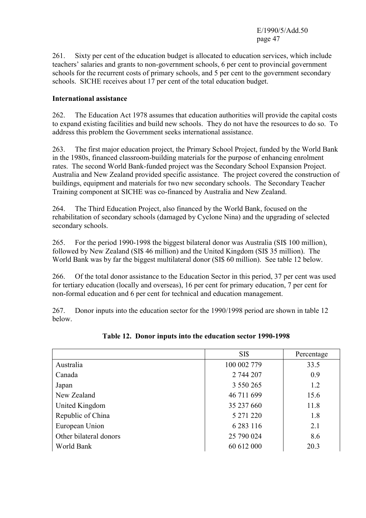261. Sixty per cent of the education budget is allocated to education services, which include teachers' salaries and grants to non-government schools, 6 per cent to provincial government schools for the recurrent costs of primary schools, and 5 per cent to the government secondary schools. SICHE receives about 17 per cent of the total education budget.

#### **International assistance**

262. The Education Act 1978 assumes that education authorities will provide the capital costs to expand existing facilities and build new schools. They do not have the resources to do so. To address this problem the Government seeks international assistance.

263. The first major education project, the Primary School Project, funded by the World Bank in the 1980s, financed classroom-building materials for the purpose of enhancing enrolment rates. The second World Bank-funded project was the Secondary School Expansion Project. Australia and New Zealand provided specific assistance. The project covered the construction of buildings, equipment and materials for two new secondary schools. The Secondary Teacher Training component at SICHE was co-financed by Australia and New Zealand.

264. The Third Education Project, also financed by the World Bank, focused on the rehabilitation of secondary schools (damaged by Cyclone Nina) and the upgrading of selected secondary schools.

265. For the period 1990-1998 the biggest bilateral donor was Australia (SI\$ 100 million), followed by New Zealand (SI\$ 46 million) and the United Kingdom (SI\$ 35 million). The World Bank was by far the biggest multilateral donor (SI\$ 60 million). See table 12 below.

266. Of the total donor assistance to the Education Sector in this period, 37 per cent was used for tertiary education (locally and overseas), 16 per cent for primary education, 7 per cent for non-formal education and 6 per cent for technical and education management.

267. Donor inputs into the education sector for the 1990/1998 period are shown in table 12 below.

|                        | SI\$          | Percentage |
|------------------------|---------------|------------|
| Australia              | 100 002 779   | 33.5       |
| Canada                 | 2 744 207     | 0.9        |
| Japan                  | 3 550 265     | 1.2        |
| New Zealand            | 46 711 699    | 15.6       |
| United Kingdom         | 35 237 660    | 11.8       |
| Republic of China      | 5 271 220     | 1.8        |
| European Union         | 6 2 8 3 1 1 6 | 2.1        |
| Other bilateral donors | 25 790 024    | 8.6        |
| World Bank             | 60 612 000    | 20.3       |

**Table 12. Donor inputs into the education sector 1990-1998**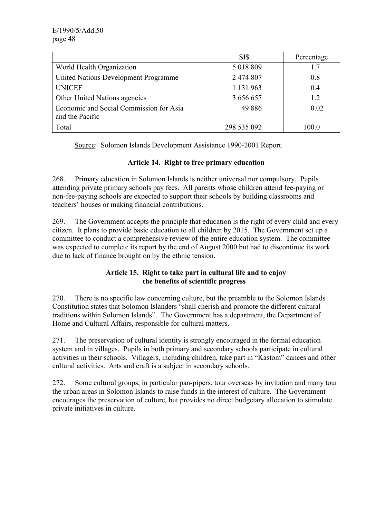|                                         | SI\$        | Percentage |
|-----------------------------------------|-------------|------------|
| World Health Organization               | 5 018 809   | 17         |
| United Nations Development Programme    | 2 474 807   | 0.8        |
| <b>UNICEF</b>                           | 1 131 963   | 0.4        |
| Other United Nations agencies           | 3 656 657   | 1.2        |
| Economic and Social Commission for Asia | 49886       | 0.02       |
| and the Pacific                         |             |            |
| Total                                   | 298 535 092 | 100.0      |

Source: Solomon Islands Development Assistance 1990-2001 Report.

# **Article 14. Right to free primary education**

268. Primary education in Solomon Islands is neither universal nor compulsory. Pupils attending private primary schools pay fees. All parents whose children attend fee-paying or non-fee-paying schools are expected to support their schools by building classrooms and teachers' houses or making financial contributions.

269. The Government accepts the principle that education is the right of every child and every citizen. It plans to provide basic education to all children by 2015. The Government set up a committee to conduct a comprehensive review of the entire education system. The committee was expected to complete its report by the end of August 2000 but had to discontinue its work due to lack of finance brought on by the ethnic tension.

# **Article 15. Right to take part in cultural life and to enjoy the benefits of scientific progress**

270. There is no specific law concerning culture, but the preamble to the Solomon Islands Constitution states that Solomon Islanders "shall cherish and promote the different cultural traditions within Solomon Islands". The Government has a department, the Department of Home and Cultural Affairs, responsible for cultural matters.

271. The preservation of cultural identity is strongly encouraged in the formal education system and in villages. Pupils in both primary and secondary schools participate in cultural activities in their schools. Villagers, including children, take part in "Kastom" dances and other cultural activities. Arts and craft is a subject in secondary schools.

272. Some cultural groups, in particular pan-pipers, tour overseas by invitation and many tour the urban areas in Solomon Islands to raise funds in the interest of culture. The Government encourages the preservation of culture, but provides no direct budgetary allocation to stimulate private initiatives in culture.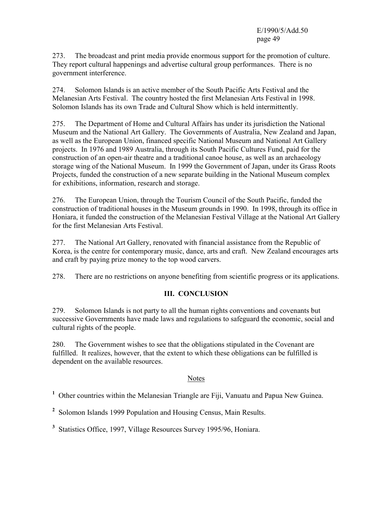273. The broadcast and print media provide enormous support for the promotion of culture. They report cultural happenings and advertise cultural group performances. There is no government interference.

274. Solomon Islands is an active member of the South Pacific Arts Festival and the Melanesian Arts Festival. The country hosted the first Melanesian Arts Festival in 1998. Solomon Islands has its own Trade and Cultural Show which is held intermittently.

275. The Department of Home and Cultural Affairs has under its jurisdiction the National Museum and the National Art Gallery. The Governments of Australia, New Zealand and Japan, as well as the European Union, financed specific National Museum and National Art Gallery projects. In 1976 and 1989 Australia, through its South Pacific Cultures Fund, paid for the construction of an open-air theatre and a traditional canoe house, as well as an archaeology storage wing of the National Museum. In 1999 the Government of Japan, under its Grass Roots Projects, funded the construction of a new separate building in the National Museum complex for exhibitions, information, research and storage.

276. The European Union, through the Tourism Council of the South Pacific, funded the construction of traditional houses in the Museum grounds in 1990. In 1998, through its office in Honiara, it funded the construction of the Melanesian Festival Village at the National Art Gallery for the first Melanesian Arts Festival.

277. The National Art Gallery, renovated with financial assistance from the Republic of Korea, is the centre for contemporary music, dance, arts and craft. New Zealand encourages arts and craft by paying prize money to the top wood carvers.

278. There are no restrictions on anyone benefiting from scientific progress or its applications.

#### **III. CONCLUSION**

279. Solomon Islands is not party to all the human rights conventions and covenants but successive Governments have made laws and regulations to safeguard the economic, social and cultural rights of the people.

280. The Government wishes to see that the obligations stipulated in the Covenant are fulfilled. It realizes, however, that the extent to which these obligations can be fulfilled is dependent on the available resources.

#### Notes

<sup>1</sup> Other countries within the Melanesian Triangle are Fiji, Vanuatu and Papua New Guinea.

<sup>2</sup> Solomon Islands 1999 Population and Housing Census, Main Results.

**3** Statistics Office, 1997, Village Resources Survey 1995/96, Honiara.